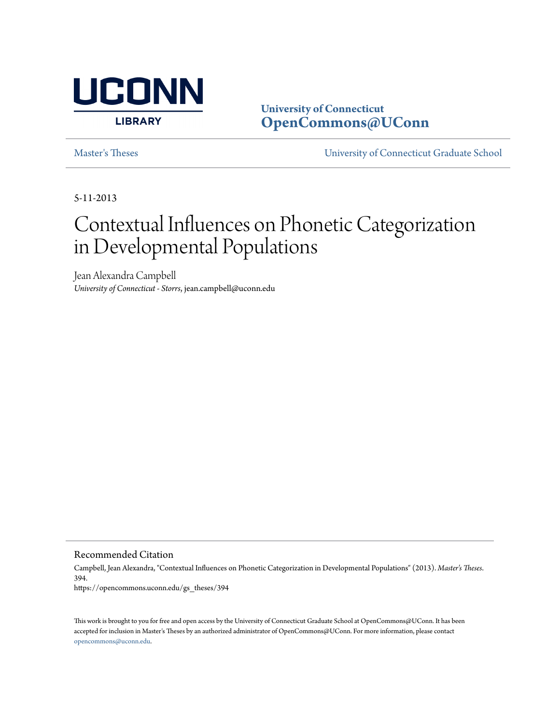

**University of Connecticut [OpenCommons@UConn](https://opencommons.uconn.edu)**

[Master's Theses](https://opencommons.uconn.edu/gs_theses) [University of Connecticut Graduate School](https://opencommons.uconn.edu/gs)

5-11-2013

# Contextual Influences on Phonetic Categorization in Developmental Populations

Jean Alexandra Campbell *University of Connecticut - Storrs*, jean.campbell@uconn.edu

Recommended Citation

Campbell, Jean Alexandra, "Contextual Influences on Phonetic Categorization in Developmental Populations" (2013). *Master's Theses*. 394. https://opencommons.uconn.edu/gs\_theses/394

This work is brought to you for free and open access by the University of Connecticut Graduate School at OpenCommons@UConn. It has been accepted for inclusion in Master's Theses by an authorized administrator of OpenCommons@UConn. For more information, please contact [opencommons@uconn.edu](mailto:opencommons@uconn.edu).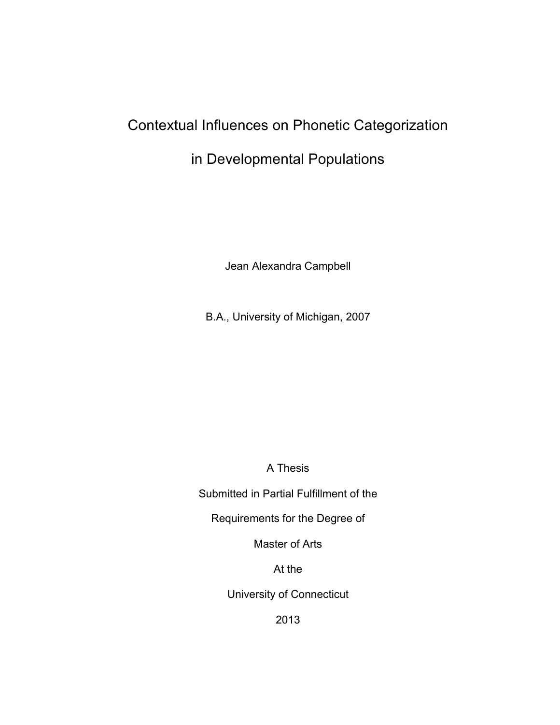# Contextual Influences on Phonetic Categorization

# in Developmental Populations

Jean Alexandra Campbell

B.A., University of Michigan, 2007

A Thesis

Submitted in Partial Fulfillment of the

Requirements for the Degree of

Master of Arts

At the

University of Connecticut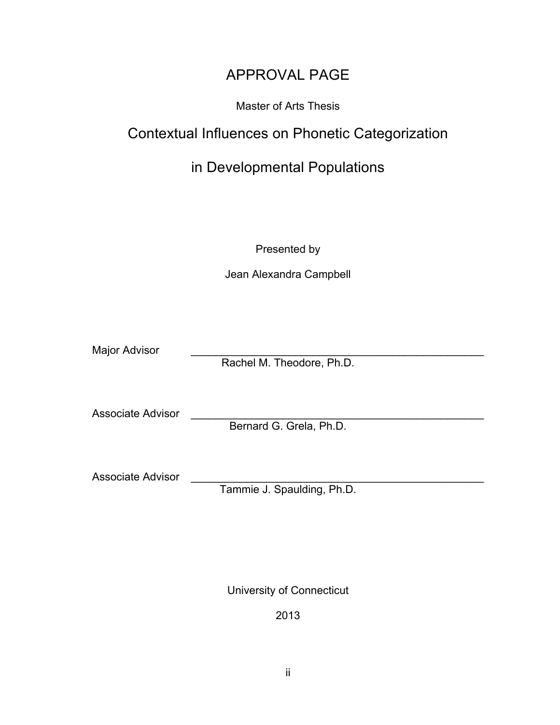# APPROVAL PAGE

### Master of Arts Thesis

# Contextual Influences on Phonetic Categorization

# in Developmental Populations

Presented by

Jean Alexandra Campbell

Major Advisor

Rachel M. Theodore, Ph.D.

Associate Advisor

Bernard G. Grela, Ph.D.

Associate Advisor

Tammie J. Spaulding, Ph.D.

University of Connecticut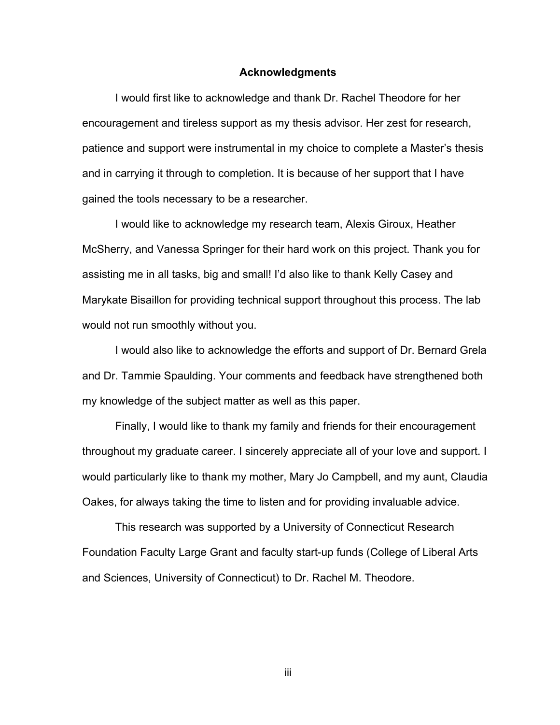#### **Acknowledgments**

I would first like to acknowledge and thank Dr. Rachel Theodore for her encouragement and tireless support as my thesis advisor. Her zest for research, patience and support were instrumental in my choice to complete a Master's thesis and in carrying it through to completion. It is because of her support that I have gained the tools necessary to be a researcher.

I would like to acknowledge my research team, Alexis Giroux, Heather McSherry, and Vanessa Springer for their hard work on this project. Thank you for assisting me in all tasks, big and small! I'd also like to thank Kelly Casey and Marykate Bisaillon for providing technical support throughout this process. The lab would not run smoothly without you.

I would also like to acknowledge the efforts and support of Dr. Bernard Grela and Dr. Tammie Spaulding. Your comments and feedback have strengthened both my knowledge of the subject matter as well as this paper.

Finally, I would like to thank my family and friends for their encouragement throughout my graduate career. I sincerely appreciate all of your love and support. I would particularly like to thank my mother, Mary Jo Campbell, and my aunt, Claudia Oakes, for always taking the time to listen and for providing invaluable advice.

This research was supported by a University of Connecticut Research Foundation Faculty Large Grant and faculty start-up funds (College of Liberal Arts and Sciences, University of Connecticut) to Dr. Rachel M. Theodore.

iii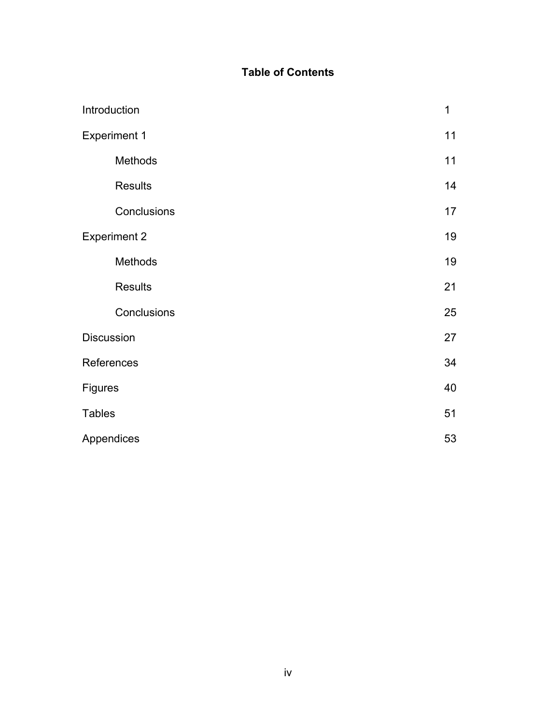### **Table of Contents**

|                | Introduction        | $\mathbf 1$ |
|----------------|---------------------|-------------|
|                | <b>Experiment 1</b> | 11          |
|                | Methods             | 11          |
|                | <b>Results</b>      | 14          |
|                | Conclusions         | 17          |
|                | <b>Experiment 2</b> | 19          |
|                | Methods             | 19          |
|                | <b>Results</b>      | 21          |
|                | Conclusions         | 25          |
| Discussion     |                     | 27          |
|                | References          | 34          |
| <b>Figures</b> |                     | 40          |
| <b>Tables</b>  |                     | 51          |
|                | Appendices          | 53          |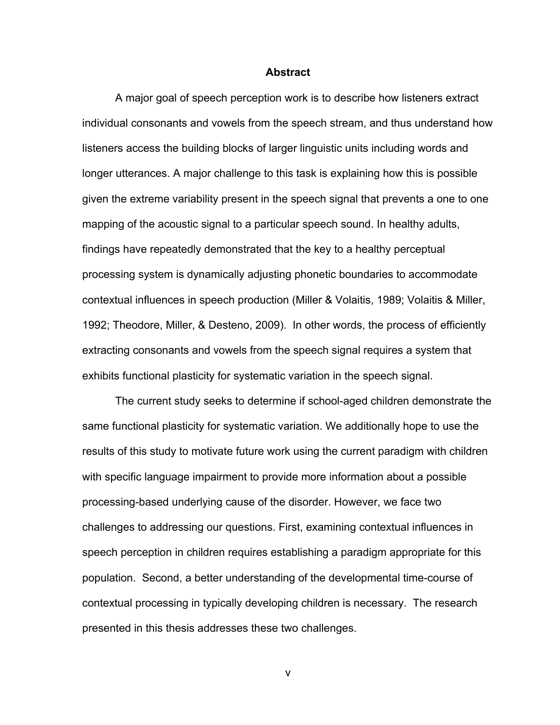#### **Abstract**

A major goal of speech perception work is to describe how listeners extract individual consonants and vowels from the speech stream, and thus understand how listeners access the building blocks of larger linguistic units including words and longer utterances. A major challenge to this task is explaining how this is possible given the extreme variability present in the speech signal that prevents a one to one mapping of the acoustic signal to a particular speech sound. In healthy adults, findings have repeatedly demonstrated that the key to a healthy perceptual processing system is dynamically adjusting phonetic boundaries to accommodate contextual influences in speech production (Miller & Volaitis, 1989; Volaitis & Miller, 1992; Theodore, Miller, & Desteno, 2009). In other words, the process of efficiently extracting consonants and vowels from the speech signal requires a system that exhibits functional plasticity for systematic variation in the speech signal.

The current study seeks to determine if school-aged children demonstrate the same functional plasticity for systematic variation. We additionally hope to use the results of this study to motivate future work using the current paradigm with children with specific language impairment to provide more information about a possible processing-based underlying cause of the disorder. However, we face two challenges to addressing our questions. First, examining contextual influences in speech perception in children requires establishing a paradigm appropriate for this population. Second, a better understanding of the developmental time-course of contextual processing in typically developing children is necessary. The research presented in this thesis addresses these two challenges.

v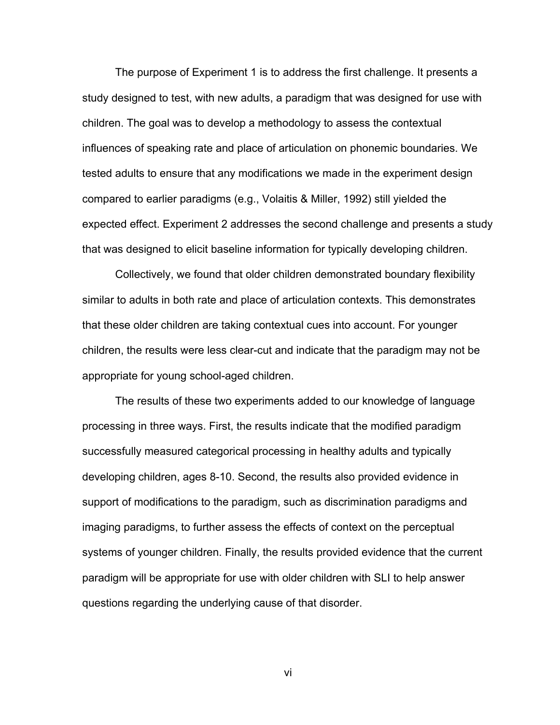The purpose of Experiment 1 is to address the first challenge. It presents a study designed to test, with new adults, a paradigm that was designed for use with children. The goal was to develop a methodology to assess the contextual influences of speaking rate and place of articulation on phonemic boundaries. We tested adults to ensure that any modifications we made in the experiment design compared to earlier paradigms (e.g., Volaitis & Miller, 1992) still yielded the expected effect. Experiment 2 addresses the second challenge and presents a study that was designed to elicit baseline information for typically developing children.

Collectively, we found that older children demonstrated boundary flexibility similar to adults in both rate and place of articulation contexts. This demonstrates that these older children are taking contextual cues into account. For younger children, the results were less clear-cut and indicate that the paradigm may not be appropriate for young school-aged children.

The results of these two experiments added to our knowledge of language processing in three ways. First, the results indicate that the modified paradigm successfully measured categorical processing in healthy adults and typically developing children, ages 8-10. Second, the results also provided evidence in support of modifications to the paradigm, such as discrimination paradigms and imaging paradigms, to further assess the effects of context on the perceptual systems of younger children. Finally, the results provided evidence that the current paradigm will be appropriate for use with older children with SLI to help answer questions regarding the underlying cause of that disorder.

vi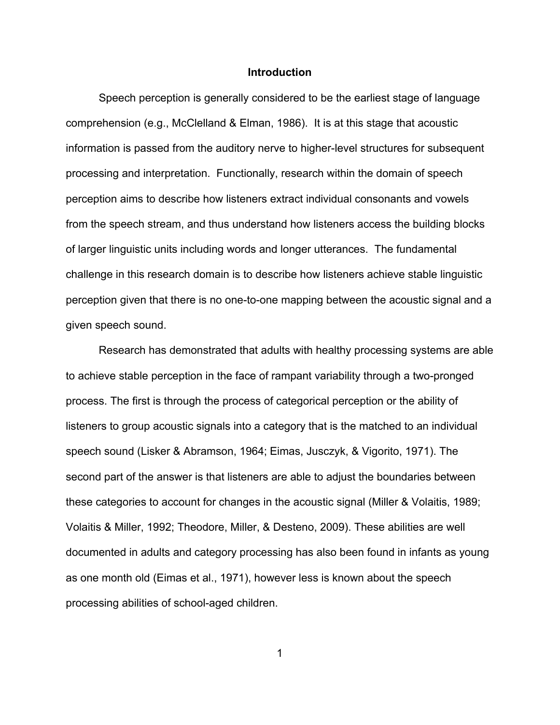#### **Introduction**

Speech perception is generally considered to be the earliest stage of language comprehension (e.g., McClelland & Elman, 1986). It is at this stage that acoustic information is passed from the auditory nerve to higher-level structures for subsequent processing and interpretation. Functionally, research within the domain of speech perception aims to describe how listeners extract individual consonants and vowels from the speech stream, and thus understand how listeners access the building blocks of larger linguistic units including words and longer utterances. The fundamental challenge in this research domain is to describe how listeners achieve stable linguistic perception given that there is no one-to-one mapping between the acoustic signal and a given speech sound.

Research has demonstrated that adults with healthy processing systems are able to achieve stable perception in the face of rampant variability through a two-pronged process. The first is through the process of categorical perception or the ability of listeners to group acoustic signals into a category that is the matched to an individual speech sound (Lisker & Abramson, 1964; Eimas, Jusczyk, & Vigorito, 1971). The second part of the answer is that listeners are able to adjust the boundaries between these categories to account for changes in the acoustic signal (Miller & Volaitis, 1989; Volaitis & Miller, 1992; Theodore, Miller, & Desteno, 2009). These abilities are well documented in adults and category processing has also been found in infants as young as one month old (Eimas et al., 1971), however less is known about the speech processing abilities of school-aged children.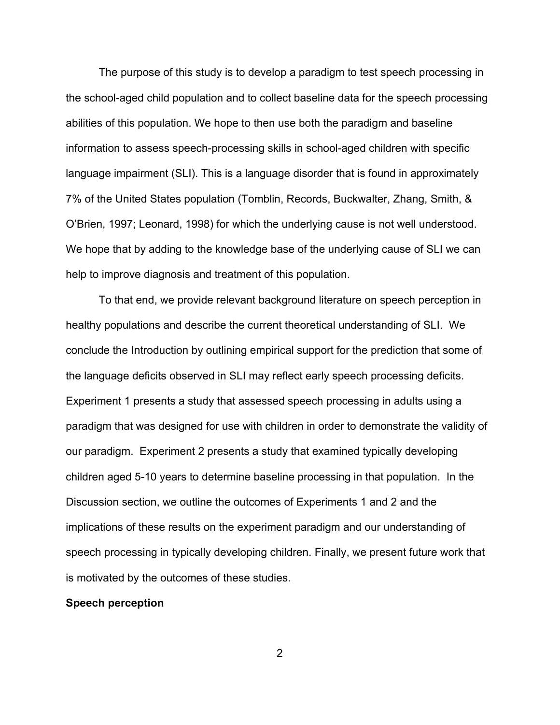The purpose of this study is to develop a paradigm to test speech processing in the school-aged child population and to collect baseline data for the speech processing abilities of this population. We hope to then use both the paradigm and baseline information to assess speech-processing skills in school-aged children with specific language impairment (SLI). This is a language disorder that is found in approximately 7% of the United States population (Tomblin, Records, Buckwalter, Zhang, Smith, & O'Brien, 1997; Leonard, 1998) for which the underlying cause is not well understood. We hope that by adding to the knowledge base of the underlying cause of SLI we can help to improve diagnosis and treatment of this population.

To that end, we provide relevant background literature on speech perception in healthy populations and describe the current theoretical understanding of SLI. We conclude the Introduction by outlining empirical support for the prediction that some of the language deficits observed in SLI may reflect early speech processing deficits. Experiment 1 presents a study that assessed speech processing in adults using a paradigm that was designed for use with children in order to demonstrate the validity of our paradigm. Experiment 2 presents a study that examined typically developing children aged 5-10 years to determine baseline processing in that population. In the Discussion section, we outline the outcomes of Experiments 1 and 2 and the implications of these results on the experiment paradigm and our understanding of speech processing in typically developing children. Finally, we present future work that is motivated by the outcomes of these studies.

#### **Speech perception**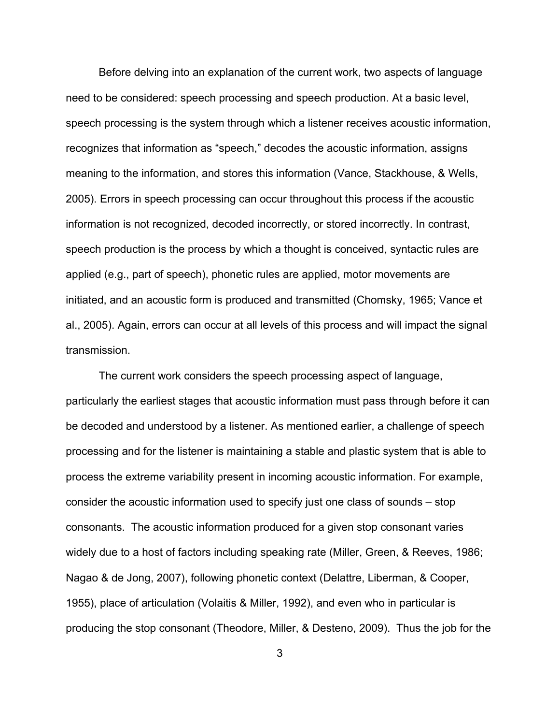Before delving into an explanation of the current work, two aspects of language need to be considered: speech processing and speech production. At a basic level, speech processing is the system through which a listener receives acoustic information, recognizes that information as "speech," decodes the acoustic information, assigns meaning to the information, and stores this information (Vance, Stackhouse, & Wells, 2005). Errors in speech processing can occur throughout this process if the acoustic information is not recognized, decoded incorrectly, or stored incorrectly. In contrast, speech production is the process by which a thought is conceived, syntactic rules are applied (e.g., part of speech), phonetic rules are applied, motor movements are initiated, and an acoustic form is produced and transmitted (Chomsky, 1965; Vance et al., 2005). Again, errors can occur at all levels of this process and will impact the signal transmission.

The current work considers the speech processing aspect of language, particularly the earliest stages that acoustic information must pass through before it can be decoded and understood by a listener. As mentioned earlier, a challenge of speech processing and for the listener is maintaining a stable and plastic system that is able to process the extreme variability present in incoming acoustic information. For example, consider the acoustic information used to specify just one class of sounds – stop consonants. The acoustic information produced for a given stop consonant varies widely due to a host of factors including speaking rate (Miller, Green, & Reeves, 1986; Nagao & de Jong, 2007), following phonetic context (Delattre, Liberman, & Cooper, 1955), place of articulation (Volaitis & Miller, 1992), and even who in particular is producing the stop consonant (Theodore, Miller, & Desteno, 2009). Thus the job for the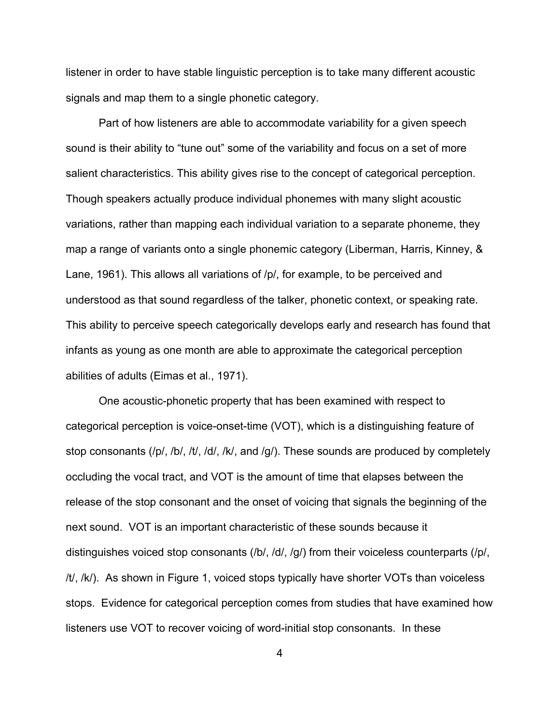listener in order to have stable linguistic perception is to take many different acoustic signals and map them to a single phonetic category.

Part of how listeners are able to accommodate variability for a given speech sound is their ability to "tune out" some of the variability and focus on a set of more salient characteristics. This ability gives rise to the concept of categorical perception. Though speakers actually produce individual phonemes with many slight acoustic variations, rather than mapping each individual variation to a separate phoneme, they map a range of variants onto a single phonemic category (Liberman, Harris, Kinney, & Lane, 1961). This allows all variations of /p/, for example, to be perceived and understood as that sound regardless of the talker, phonetic context, or speaking rate. This ability to perceive speech categorically develops early and research has found that infants as young as one month are able to approximate the categorical perception abilities of adults (Eimas et al., 1971).

One acoustic-phonetic property that has been examined with respect to categorical perception is voice-onset-time (VOT), which is a distinguishing feature of stop consonants (/p/, /b/, /t/, /d/, /k/, and /g/). These sounds are produced by completely occluding the vocal tract, and VOT is the amount of time that elapses between the release of the stop consonant and the onset of voicing that signals the beginning of the next sound. VOT is an important characteristic of these sounds because it distinguishes voiced stop consonants (/b/, /d/, /g/) from their voiceless counterparts (/p/, /t/, /k/). As shown in Figure 1, voiced stops typically have shorter VOTs than voiceless stops. Evidence for categorical perception comes from studies that have examined how listeners use VOT to recover voicing of word-initial stop consonants. In these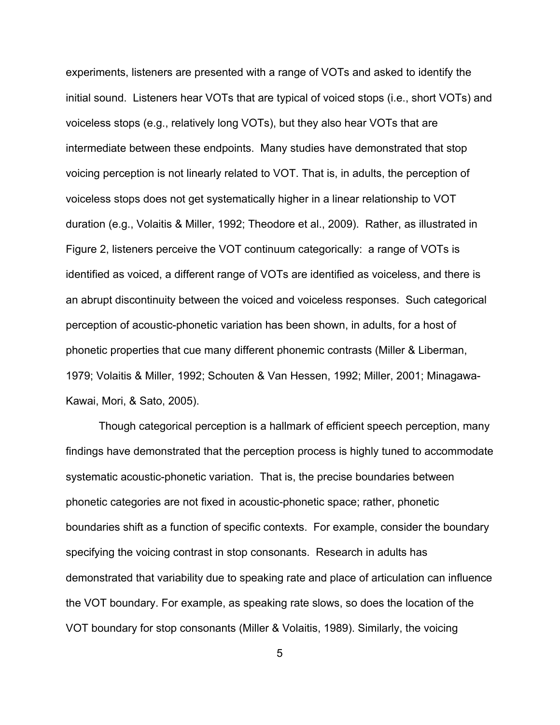experiments, listeners are presented with a range of VOTs and asked to identify the initial sound. Listeners hear VOTs that are typical of voiced stops (i.e., short VOTs) and voiceless stops (e.g., relatively long VOTs), but they also hear VOTs that are intermediate between these endpoints. Many studies have demonstrated that stop voicing perception is not linearly related to VOT. That is, in adults, the perception of voiceless stops does not get systematically higher in a linear relationship to VOT duration (e.g., Volaitis & Miller, 1992; Theodore et al., 2009). Rather, as illustrated in Figure 2, listeners perceive the VOT continuum categorically: a range of VOTs is identified as voiced, a different range of VOTs are identified as voiceless, and there is an abrupt discontinuity between the voiced and voiceless responses. Such categorical perception of acoustic-phonetic variation has been shown, in adults, for a host of phonetic properties that cue many different phonemic contrasts (Miller & Liberman, 1979; Volaitis & Miller, 1992; Schouten & Van Hessen, 1992; Miller, 2001; Minagawa-Kawai, Mori, & Sato, 2005).

Though categorical perception is a hallmark of efficient speech perception, many findings have demonstrated that the perception process is highly tuned to accommodate systematic acoustic-phonetic variation. That is, the precise boundaries between phonetic categories are not fixed in acoustic-phonetic space; rather, phonetic boundaries shift as a function of specific contexts. For example, consider the boundary specifying the voicing contrast in stop consonants. Research in adults has demonstrated that variability due to speaking rate and place of articulation can influence the VOT boundary. For example, as speaking rate slows, so does the location of the VOT boundary for stop consonants (Miller & Volaitis, 1989). Similarly, the voicing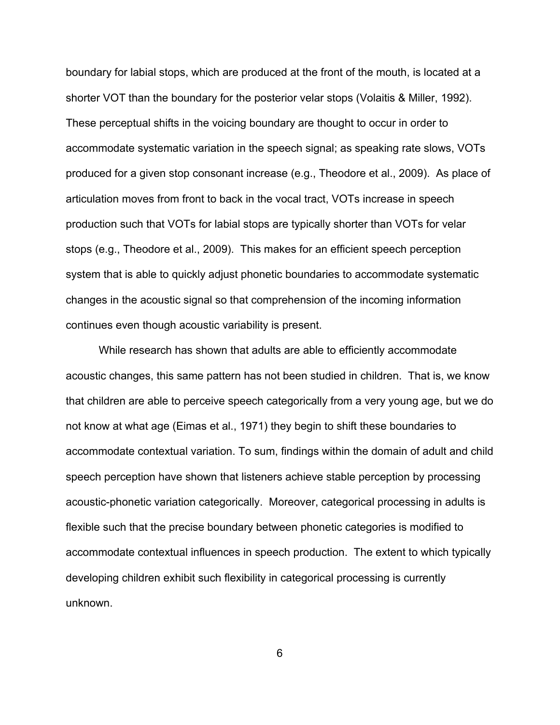boundary for labial stops, which are produced at the front of the mouth, is located at a shorter VOT than the boundary for the posterior velar stops (Volaitis & Miller, 1992). These perceptual shifts in the voicing boundary are thought to occur in order to accommodate systematic variation in the speech signal; as speaking rate slows, VOTs produced for a given stop consonant increase (e.g., Theodore et al., 2009). As place of articulation moves from front to back in the vocal tract, VOTs increase in speech production such that VOTs for labial stops are typically shorter than VOTs for velar stops (e.g., Theodore et al., 2009). This makes for an efficient speech perception system that is able to quickly adjust phonetic boundaries to accommodate systematic changes in the acoustic signal so that comprehension of the incoming information continues even though acoustic variability is present.

While research has shown that adults are able to efficiently accommodate acoustic changes, this same pattern has not been studied in children. That is, we know that children are able to perceive speech categorically from a very young age, but we do not know at what age (Eimas et al., 1971) they begin to shift these boundaries to accommodate contextual variation. To sum, findings within the domain of adult and child speech perception have shown that listeners achieve stable perception by processing acoustic-phonetic variation categorically. Moreover, categorical processing in adults is flexible such that the precise boundary between phonetic categories is modified to accommodate contextual influences in speech production. The extent to which typically developing children exhibit such flexibility in categorical processing is currently unknown.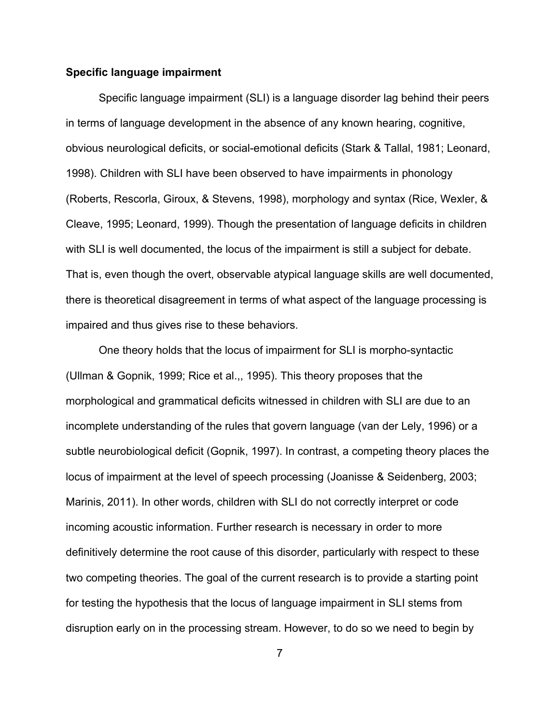#### **Specific language impairment**

Specific language impairment (SLI) is a language disorder lag behind their peers in terms of language development in the absence of any known hearing, cognitive, obvious neurological deficits, or social-emotional deficits (Stark & Tallal, 1981; Leonard, 1998). Children with SLI have been observed to have impairments in phonology (Roberts, Rescorla, Giroux, & Stevens, 1998), morphology and syntax (Rice, Wexler, & Cleave, 1995; Leonard, 1999). Though the presentation of language deficits in children with SLI is well documented, the locus of the impairment is still a subject for debate. That is, even though the overt, observable atypical language skills are well documented, there is theoretical disagreement in terms of what aspect of the language processing is impaired and thus gives rise to these behaviors.

One theory holds that the locus of impairment for SLI is morpho-syntactic (Ullman & Gopnik, 1999; Rice et al.,, 1995). This theory proposes that the morphological and grammatical deficits witnessed in children with SLI are due to an incomplete understanding of the rules that govern language (van der Lely, 1996) or a subtle neurobiological deficit (Gopnik, 1997). In contrast, a competing theory places the locus of impairment at the level of speech processing (Joanisse & Seidenberg, 2003; Marinis, 2011). In other words, children with SLI do not correctly interpret or code incoming acoustic information. Further research is necessary in order to more definitively determine the root cause of this disorder, particularly with respect to these two competing theories. The goal of the current research is to provide a starting point for testing the hypothesis that the locus of language impairment in SLI stems from disruption early on in the processing stream. However, to do so we need to begin by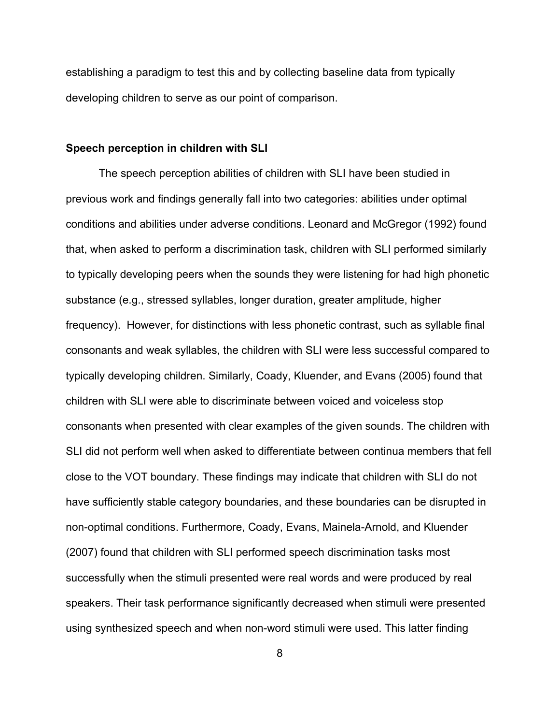establishing a paradigm to test this and by collecting baseline data from typically developing children to serve as our point of comparison.

#### **Speech perception in children with SLI**

The speech perception abilities of children with SLI have been studied in previous work and findings generally fall into two categories: abilities under optimal conditions and abilities under adverse conditions. Leonard and McGregor (1992) found that, when asked to perform a discrimination task, children with SLI performed similarly to typically developing peers when the sounds they were listening for had high phonetic substance (e.g., stressed syllables, longer duration, greater amplitude, higher frequency). However, for distinctions with less phonetic contrast, such as syllable final consonants and weak syllables, the children with SLI were less successful compared to typically developing children. Similarly, Coady, Kluender, and Evans (2005) found that children with SLI were able to discriminate between voiced and voiceless stop consonants when presented with clear examples of the given sounds. The children with SLI did not perform well when asked to differentiate between continua members that fell close to the VOT boundary. These findings may indicate that children with SLI do not have sufficiently stable category boundaries, and these boundaries can be disrupted in non-optimal conditions. Furthermore, Coady, Evans, Mainela-Arnold, and Kluender (2007) found that children with SLI performed speech discrimination tasks most successfully when the stimuli presented were real words and were produced by real speakers. Their task performance significantly decreased when stimuli were presented using synthesized speech and when non-word stimuli were used. This latter finding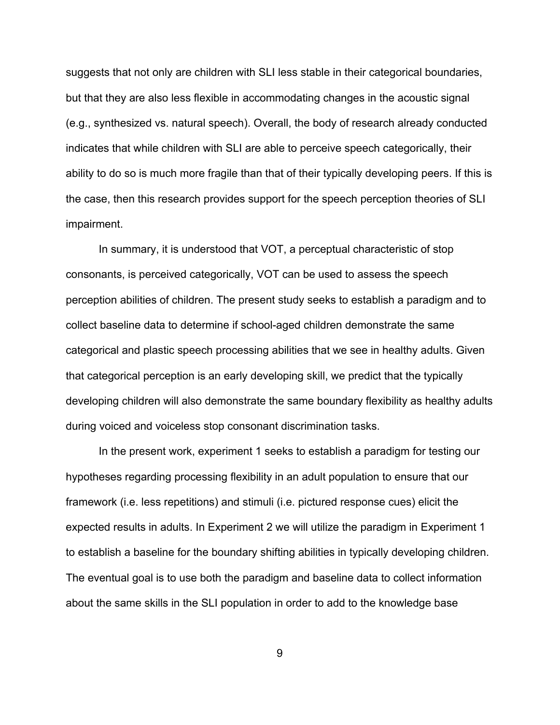suggests that not only are children with SLI less stable in their categorical boundaries, but that they are also less flexible in accommodating changes in the acoustic signal (e.g., synthesized vs. natural speech). Overall, the body of research already conducted indicates that while children with SLI are able to perceive speech categorically, their ability to do so is much more fragile than that of their typically developing peers. If this is the case, then this research provides support for the speech perception theories of SLI impairment.

In summary, it is understood that VOT, a perceptual characteristic of stop consonants, is perceived categorically, VOT can be used to assess the speech perception abilities of children. The present study seeks to establish a paradigm and to collect baseline data to determine if school-aged children demonstrate the same categorical and plastic speech processing abilities that we see in healthy adults. Given that categorical perception is an early developing skill, we predict that the typically developing children will also demonstrate the same boundary flexibility as healthy adults during voiced and voiceless stop consonant discrimination tasks.

In the present work, experiment 1 seeks to establish a paradigm for testing our hypotheses regarding processing flexibility in an adult population to ensure that our framework (i.e. less repetitions) and stimuli (i.e. pictured response cues) elicit the expected results in adults. In Experiment 2 we will utilize the paradigm in Experiment 1 to establish a baseline for the boundary shifting abilities in typically developing children. The eventual goal is to use both the paradigm and baseline data to collect information about the same skills in the SLI population in order to add to the knowledge base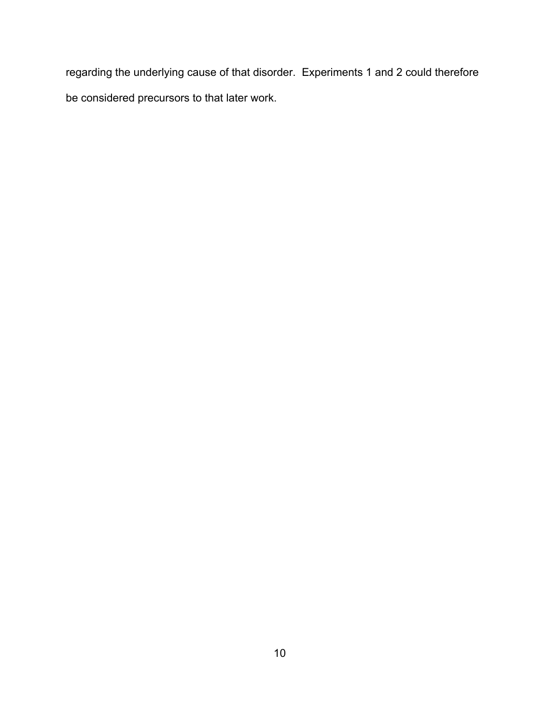regarding the underlying cause of that disorder. Experiments 1 and 2 could therefore be considered precursors to that later work.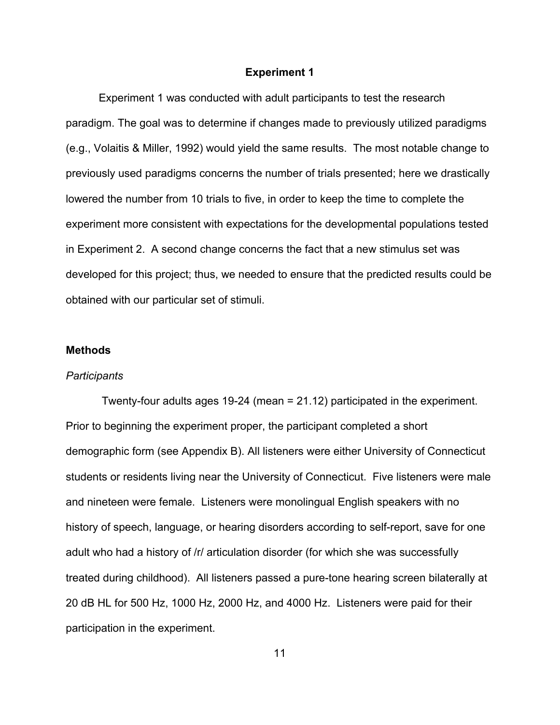#### **Experiment 1**

Experiment 1 was conducted with adult participants to test the research paradigm. The goal was to determine if changes made to previously utilized paradigms (e.g., Volaitis & Miller, 1992) would yield the same results. The most notable change to previously used paradigms concerns the number of trials presented; here we drastically lowered the number from 10 trials to five, in order to keep the time to complete the experiment more consistent with expectations for the developmental populations tested in Experiment 2. A second change concerns the fact that a new stimulus set was developed for this project; thus, we needed to ensure that the predicted results could be obtained with our particular set of stimuli.

#### **Methods**

#### *Participants*

Twenty-four adults ages 19-24 (mean = 21.12) participated in the experiment. Prior to beginning the experiment proper, the participant completed a short demographic form (see Appendix B). All listeners were either University of Connecticut students or residents living near the University of Connecticut. Five listeners were male and nineteen were female. Listeners were monolingual English speakers with no history of speech, language, or hearing disorders according to self-report, save for one adult who had a history of /r/ articulation disorder (for which she was successfully treated during childhood). All listeners passed a pure-tone hearing screen bilaterally at 20 dB HL for 500 Hz, 1000 Hz, 2000 Hz, and 4000 Hz. Listeners were paid for their participation in the experiment.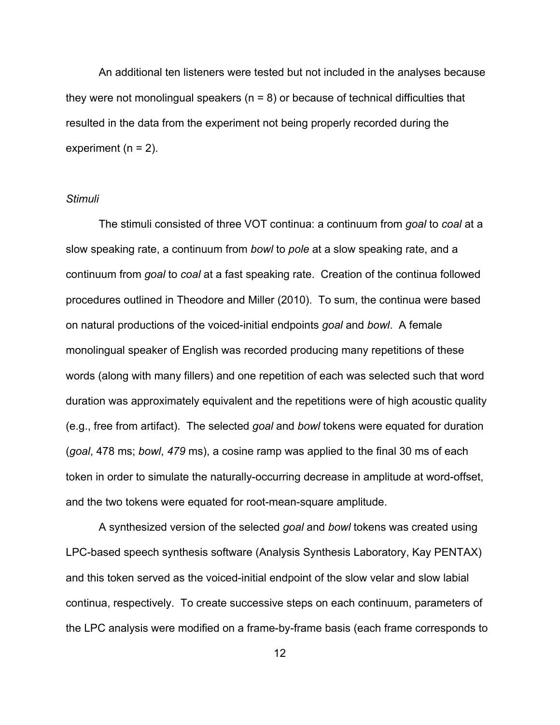An additional ten listeners were tested but not included in the analyses because they were not monolingual speakers ( $n = 8$ ) or because of technical difficulties that resulted in the data from the experiment not being properly recorded during the experiment  $(n = 2)$ .

#### *Stimuli*

The stimuli consisted of three VOT continua: a continuum from *goal* to *coal* at a slow speaking rate, a continuum from *bowl* to *pole* at a slow speaking rate, and a continuum from *goal* to *coal* at a fast speaking rate. Creation of the continua followed procedures outlined in Theodore and Miller (2010). To sum, the continua were based on natural productions of the voiced-initial endpoints *goal* and *bowl*. A female monolingual speaker of English was recorded producing many repetitions of these words (along with many fillers) and one repetition of each was selected such that word duration was approximately equivalent and the repetitions were of high acoustic quality (e.g., free from artifact). The selected *goal* and *bowl* tokens were equated for duration (*goal*, 478 ms; *bowl*, *479* ms), a cosine ramp was applied to the final 30 ms of each token in order to simulate the naturally-occurring decrease in amplitude at word-offset, and the two tokens were equated for root-mean-square amplitude.

A synthesized version of the selected *goal* and *bowl* tokens was created using LPC-based speech synthesis software (Analysis Synthesis Laboratory, Kay PENTAX) and this token served as the voiced-initial endpoint of the slow velar and slow labial continua, respectively. To create successive steps on each continuum, parameters of the LPC analysis were modified on a frame-by-frame basis (each frame corresponds to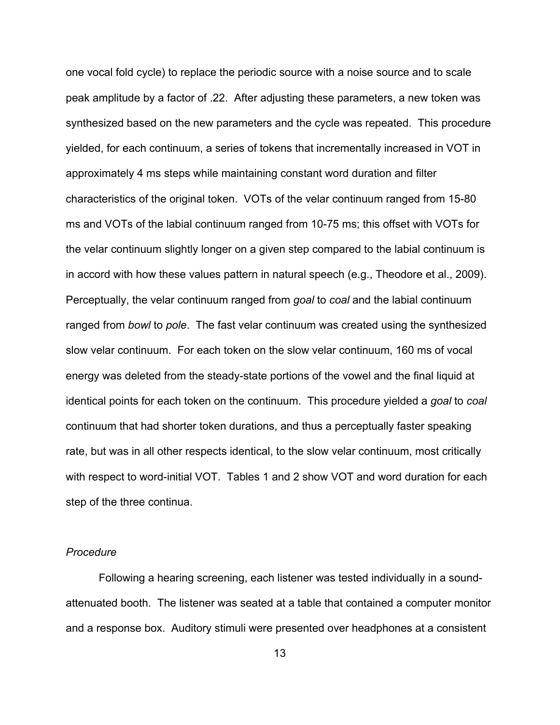one vocal fold cycle) to replace the periodic source with a noise source and to scale peak amplitude by a factor of .22. After adjusting these parameters, a new token was synthesized based on the new parameters and the cycle was repeated. This procedure yielded, for each continuum, a series of tokens that incrementally increased in VOT in approximately 4 ms steps while maintaining constant word duration and filter characteristics of the original token. VOTs of the velar continuum ranged from 15-80 ms and VOTs of the labial continuum ranged from 10-75 ms; this offset with VOTs for the velar continuum slightly longer on a given step compared to the labial continuum is in accord with how these values pattern in natural speech (e.g., Theodore et al., 2009). Perceptually, the velar continuum ranged from *goal* to *coal* and the labial continuum ranged from *bowl* to *pole*. The fast velar continuum was created using the synthesized slow velar continuum. For each token on the slow velar continuum, 160 ms of vocal energy was deleted from the steady-state portions of the vowel and the final liquid at identical points for each token on the continuum. This procedure yielded a *goal* to *coal* continuum that had shorter token durations, and thus a perceptually faster speaking rate, but was in all other respects identical, to the slow velar continuum, most critically with respect to word-initial VOT. Tables 1 and 2 show VOT and word duration for each step of the three continua.

#### *Procedure*

Following a hearing screening, each listener was tested individually in a soundattenuated booth. The listener was seated at a table that contained a computer monitor and a response box. Auditory stimuli were presented over headphones at a consistent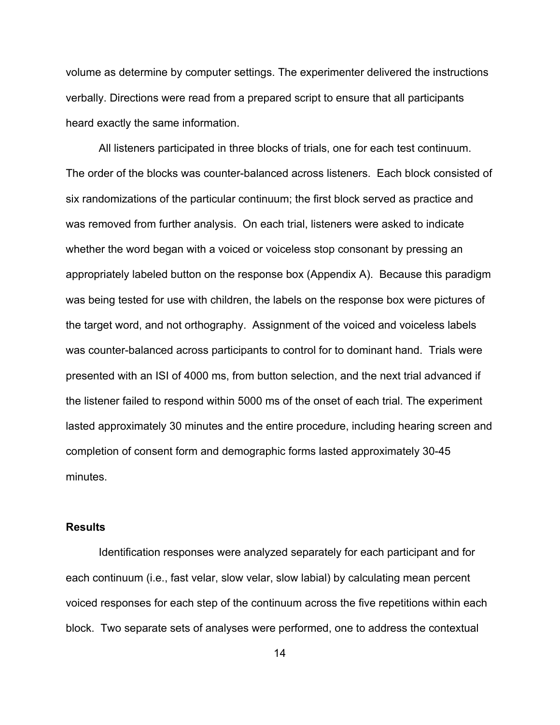volume as determine by computer settings. The experimenter delivered the instructions verbally. Directions were read from a prepared script to ensure that all participants heard exactly the same information.

All listeners participated in three blocks of trials, one for each test continuum. The order of the blocks was counter-balanced across listeners. Each block consisted of six randomizations of the particular continuum; the first block served as practice and was removed from further analysis. On each trial, listeners were asked to indicate whether the word began with a voiced or voiceless stop consonant by pressing an appropriately labeled button on the response box (Appendix A). Because this paradigm was being tested for use with children, the labels on the response box were pictures of the target word, and not orthography. Assignment of the voiced and voiceless labels was counter-balanced across participants to control for to dominant hand. Trials were presented with an ISI of 4000 ms, from button selection, and the next trial advanced if the listener failed to respond within 5000 ms of the onset of each trial. The experiment lasted approximately 30 minutes and the entire procedure, including hearing screen and completion of consent form and demographic forms lasted approximately 30-45 minutes.

#### **Results**

Identification responses were analyzed separately for each participant and for each continuum (i.e., fast velar, slow velar, slow labial) by calculating mean percent voiced responses for each step of the continuum across the five repetitions within each block. Two separate sets of analyses were performed, one to address the contextual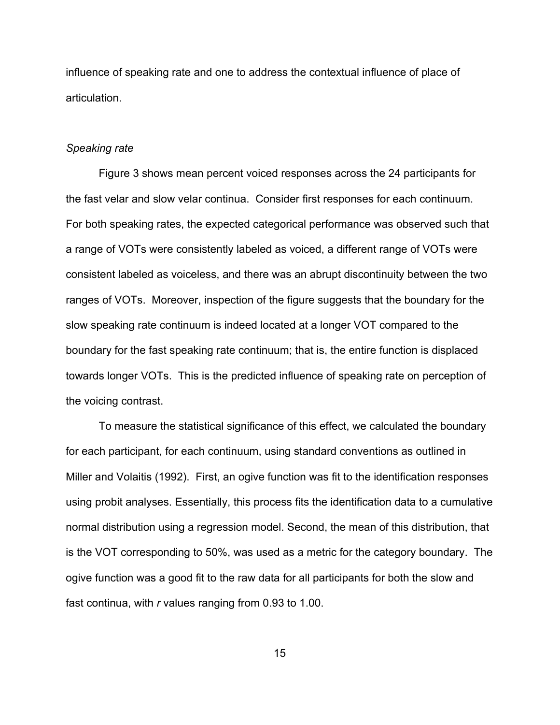influence of speaking rate and one to address the contextual influence of place of articulation.

#### *Speaking rate*

Figure 3 shows mean percent voiced responses across the 24 participants for the fast velar and slow velar continua. Consider first responses for each continuum. For both speaking rates, the expected categorical performance was observed such that a range of VOTs were consistently labeled as voiced, a different range of VOTs were consistent labeled as voiceless, and there was an abrupt discontinuity between the two ranges of VOTs. Moreover, inspection of the figure suggests that the boundary for the slow speaking rate continuum is indeed located at a longer VOT compared to the boundary for the fast speaking rate continuum; that is, the entire function is displaced towards longer VOTs. This is the predicted influence of speaking rate on perception of the voicing contrast.

To measure the statistical significance of this effect, we calculated the boundary for each participant, for each continuum, using standard conventions as outlined in Miller and Volaitis (1992). First, an ogive function was fit to the identification responses using probit analyses. Essentially, this process fits the identification data to a cumulative normal distribution using a regression model. Second, the mean of this distribution, that is the VOT corresponding to 50%, was used as a metric for the category boundary. The ogive function was a good fit to the raw data for all participants for both the slow and fast continua, with *r* values ranging from 0.93 to 1.00.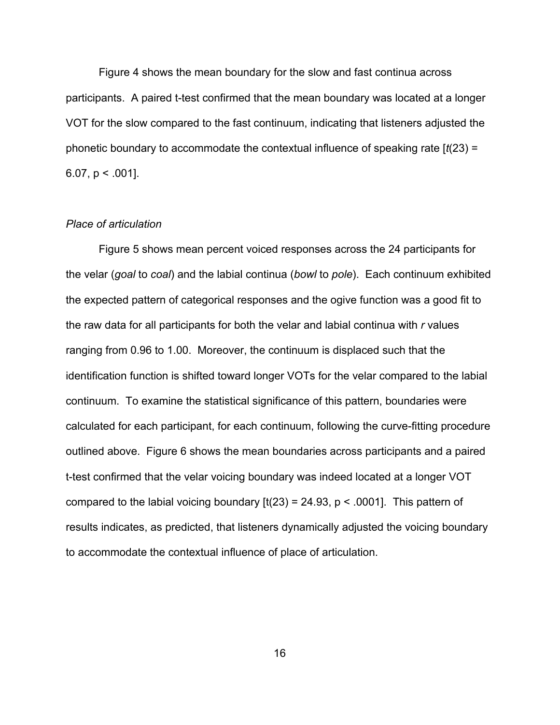Figure 4 shows the mean boundary for the slow and fast continua across participants. A paired t-test confirmed that the mean boundary was located at a longer VOT for the slow compared to the fast continuum, indicating that listeners adjusted the phonetic boundary to accommodate the contextual influence of speaking rate [*t*(23) = 6.07,  $p < .001$ .

#### *Place of articulation*

Figure 5 shows mean percent voiced responses across the 24 participants for the velar (*goal* to *coal*) and the labial continua (*bowl* to *pole*). Each continuum exhibited the expected pattern of categorical responses and the ogive function was a good fit to the raw data for all participants for both the velar and labial continua with *r* values ranging from 0.96 to 1.00. Moreover, the continuum is displaced such that the identification function is shifted toward longer VOTs for the velar compared to the labial continuum. To examine the statistical significance of this pattern, boundaries were calculated for each participant, for each continuum, following the curve-fitting procedure outlined above. Figure 6 shows the mean boundaries across participants and a paired t-test confirmed that the velar voicing boundary was indeed located at a longer VOT compared to the labial voicing boundary  $[t(23) = 24.93, p < .0001]$ . This pattern of results indicates, as predicted, that listeners dynamically adjusted the voicing boundary to accommodate the contextual influence of place of articulation.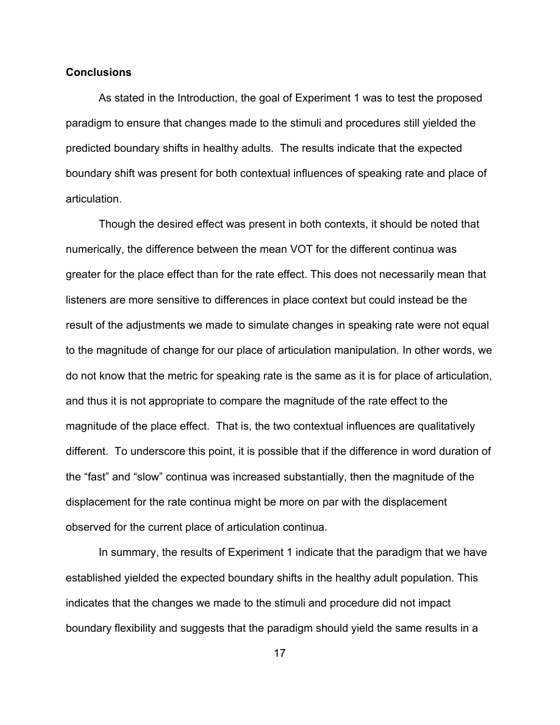#### **Conclusions**

As stated in the Introduction, the goal of Experiment 1 was to test the proposed paradigm to ensure that changes made to the stimuli and procedures still yielded the predicted boundary shifts in healthy adults. The results indicate that the expected boundary shift was present for both contextual influences of speaking rate and place of articulation.

Though the desired effect was present in both contexts, it should be noted that numerically, the difference between the mean VOT for the different continua was greater for the place effect than for the rate effect. This does not necessarily mean that listeners are more sensitive to differences in place context but could instead be the result of the adjustments we made to simulate changes in speaking rate were not equal to the magnitude of change for our place of articulation manipulation. In other words, we do not know that the metric for speaking rate is the same as it is for place of articulation, and thus it is not appropriate to compare the magnitude of the rate effect to the magnitude of the place effect. That is, the two contextual influences are qualitatively different. To underscore this point, it is possible that if the difference in word duration of the "fast" and "slow" continua was increased substantially, then the magnitude of the displacement for the rate continua might be more on par with the displacement observed for the current place of articulation continua.

In summary, the results of Experiment 1 indicate that the paradigm that we have established yielded the expected boundary shifts in the healthy adult population. This indicates that the changes we made to the stimuli and procedure did not impact boundary flexibility and suggests that the paradigm should yield the same results in a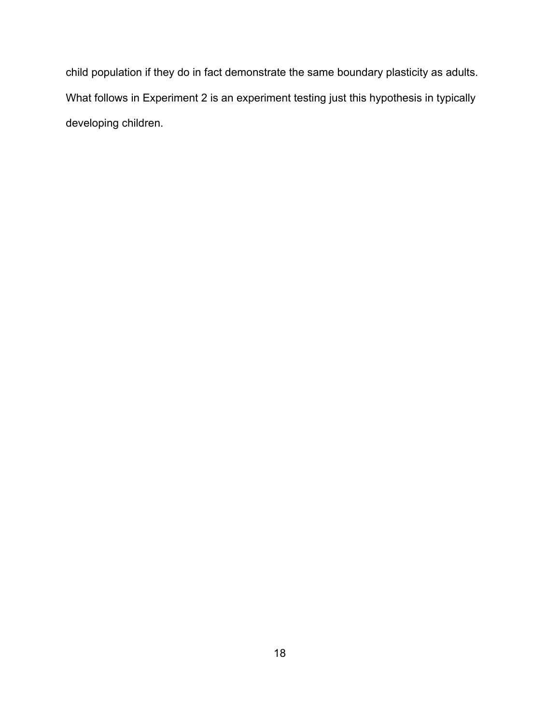child population if they do in fact demonstrate the same boundary plasticity as adults. What follows in Experiment 2 is an experiment testing just this hypothesis in typically developing children.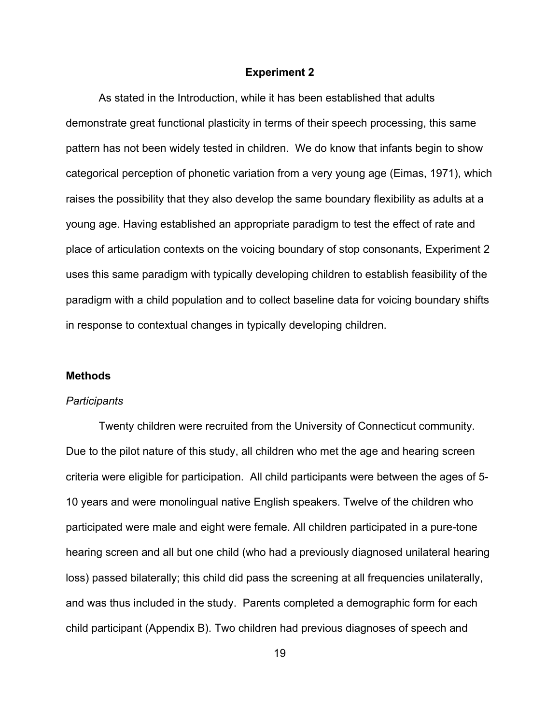#### **Experiment 2**

As stated in the Introduction, while it has been established that adults demonstrate great functional plasticity in terms of their speech processing, this same pattern has not been widely tested in children. We do know that infants begin to show categorical perception of phonetic variation from a very young age (Eimas, 1971), which raises the possibility that they also develop the same boundary flexibility as adults at a young age. Having established an appropriate paradigm to test the effect of rate and place of articulation contexts on the voicing boundary of stop consonants, Experiment 2 uses this same paradigm with typically developing children to establish feasibility of the paradigm with a child population and to collect baseline data for voicing boundary shifts in response to contextual changes in typically developing children.

#### **Methods**

#### *Participants*

Twenty children were recruited from the University of Connecticut community. Due to the pilot nature of this study, all children who met the age and hearing screen criteria were eligible for participation. All child participants were between the ages of 5- 10 years and were monolingual native English speakers. Twelve of the children who participated were male and eight were female. All children participated in a pure-tone hearing screen and all but one child (who had a previously diagnosed unilateral hearing loss) passed bilaterally; this child did pass the screening at all frequencies unilaterally, and was thus included in the study. Parents completed a demographic form for each child participant (Appendix B). Two children had previous diagnoses of speech and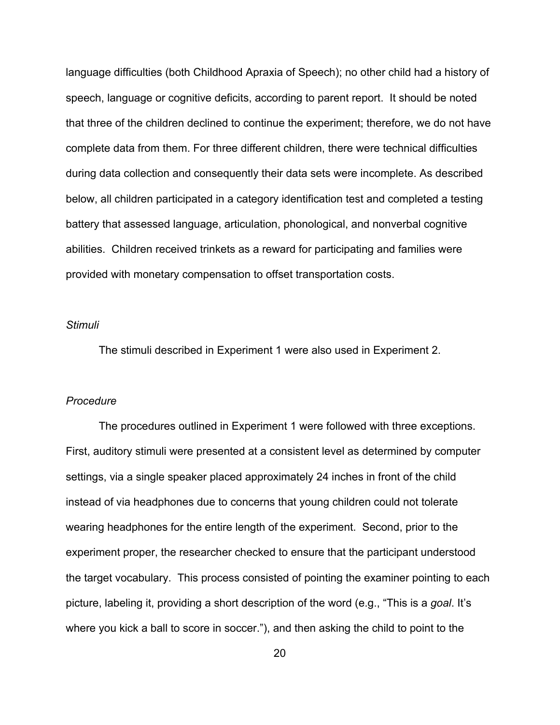language difficulties (both Childhood Apraxia of Speech); no other child had a history of speech, language or cognitive deficits, according to parent report. It should be noted that three of the children declined to continue the experiment; therefore, we do not have complete data from them. For three different children, there were technical difficulties during data collection and consequently their data sets were incomplete. As described below, all children participated in a category identification test and completed a testing battery that assessed language, articulation, phonological, and nonverbal cognitive abilities. Children received trinkets as a reward for participating and families were provided with monetary compensation to offset transportation costs.

#### *Stimuli*

The stimuli described in Experiment 1 were also used in Experiment 2.

#### *Procedure*

The procedures outlined in Experiment 1 were followed with three exceptions. First, auditory stimuli were presented at a consistent level as determined by computer settings, via a single speaker placed approximately 24 inches in front of the child instead of via headphones due to concerns that young children could not tolerate wearing headphones for the entire length of the experiment. Second, prior to the experiment proper, the researcher checked to ensure that the participant understood the target vocabulary. This process consisted of pointing the examiner pointing to each picture, labeling it, providing a short description of the word (e.g., "This is a *goal*. It's where you kick a ball to score in soccer."), and then asking the child to point to the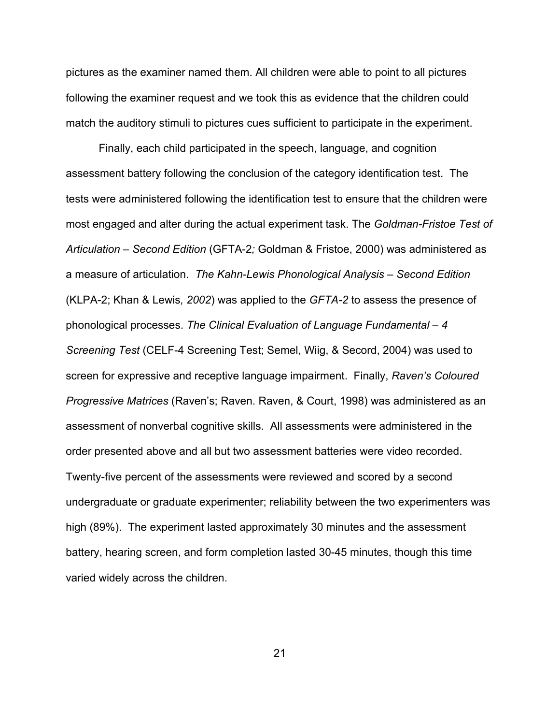pictures as the examiner named them. All children were able to point to all pictures following the examiner request and we took this as evidence that the children could match the auditory stimuli to pictures cues sufficient to participate in the experiment.

Finally, each child participated in the speech, language, and cognition assessment battery following the conclusion of the category identification test. The tests were administered following the identification test to ensure that the children were most engaged and alter during the actual experiment task. The *Goldman-Fristoe Test of Articulation – Second Edition* (GFTA-2*;* Goldman & Fristoe, 2000) was administered as a measure of articulation. *The Kahn-Lewis Phonological Analysis – Second Edition* (KLPA-2; Khan & Lewis*, 2002*) was applied to the *GFTA-2* to assess the presence of phonological processes. *The Clinical Evaluation of Language Fundamental – 4 Screening Test* (CELF-4 Screening Test; Semel, Wiig, & Secord, 2004) was used to screen for expressive and receptive language impairment. Finally, *Raven's Coloured Progressive Matrices* (Raven's; Raven. Raven, & Court, 1998) was administered as an assessment of nonverbal cognitive skills. All assessments were administered in the order presented above and all but two assessment batteries were video recorded. Twenty-five percent of the assessments were reviewed and scored by a second undergraduate or graduate experimenter; reliability between the two experimenters was high (89%). The experiment lasted approximately 30 minutes and the assessment battery, hearing screen, and form completion lasted 30-45 minutes, though this time varied widely across the children.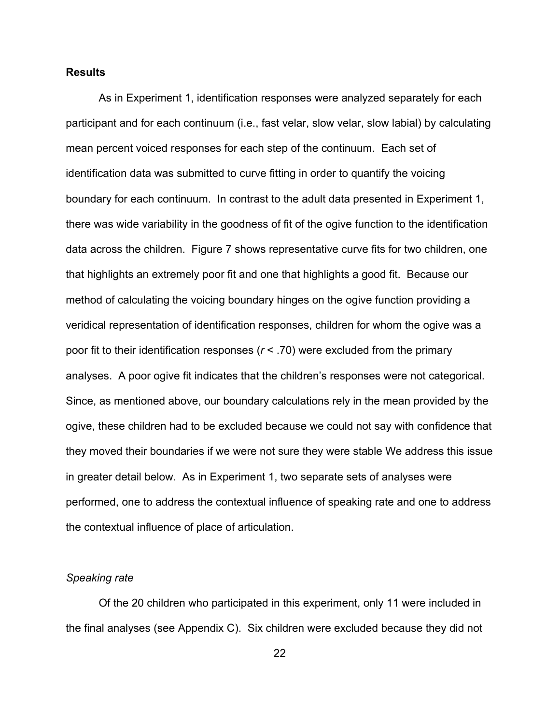#### **Results**

As in Experiment 1, identification responses were analyzed separately for each participant and for each continuum (i.e., fast velar, slow velar, slow labial) by calculating mean percent voiced responses for each step of the continuum. Each set of identification data was submitted to curve fitting in order to quantify the voicing boundary for each continuum. In contrast to the adult data presented in Experiment 1, there was wide variability in the goodness of fit of the ogive function to the identification data across the children. Figure 7 shows representative curve fits for two children, one that highlights an extremely poor fit and one that highlights a good fit. Because our method of calculating the voicing boundary hinges on the ogive function providing a veridical representation of identification responses, children for whom the ogive was a poor fit to their identification responses (*r* < .70) were excluded from the primary analyses. A poor ogive fit indicates that the children's responses were not categorical. Since, as mentioned above, our boundary calculations rely in the mean provided by the ogive, these children had to be excluded because we could not say with confidence that they moved their boundaries if we were not sure they were stable We address this issue in greater detail below. As in Experiment 1, two separate sets of analyses were performed, one to address the contextual influence of speaking rate and one to address the contextual influence of place of articulation.

#### *Speaking rate*

Of the 20 children who participated in this experiment, only 11 were included in the final analyses (see Appendix C). Six children were excluded because they did not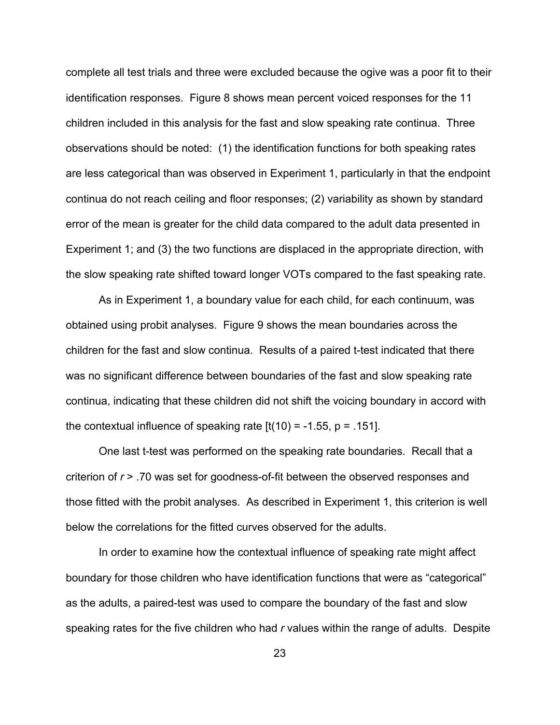complete all test trials and three were excluded because the ogive was a poor fit to their identification responses. Figure 8 shows mean percent voiced responses for the 11 children included in this analysis for the fast and slow speaking rate continua. Three observations should be noted: (1) the identification functions for both speaking rates are less categorical than was observed in Experiment 1, particularly in that the endpoint continua do not reach ceiling and floor responses; (2) variability as shown by standard error of the mean is greater for the child data compared to the adult data presented in Experiment 1; and (3) the two functions are displaced in the appropriate direction, with the slow speaking rate shifted toward longer VOTs compared to the fast speaking rate.

As in Experiment 1, a boundary value for each child, for each continuum, was obtained using probit analyses. Figure 9 shows the mean boundaries across the children for the fast and slow continua. Results of a paired t-test indicated that there was no significant difference between boundaries of the fast and slow speaking rate continua, indicating that these children did not shift the voicing boundary in accord with the contextual influence of speaking rate  $[t(10) = -1.55, p = .151]$ .

One last t-test was performed on the speaking rate boundaries. Recall that a criterion of *r* > .70 was set for goodness-of-fit between the observed responses and those fitted with the probit analyses. As described in Experiment 1, this criterion is well below the correlations for the fitted curves observed for the adults.

In order to examine how the contextual influence of speaking rate might affect boundary for those children who have identification functions that were as "categorical" as the adults, a paired-test was used to compare the boundary of the fast and slow speaking rates for the five children who had *r* values within the range of adults. Despite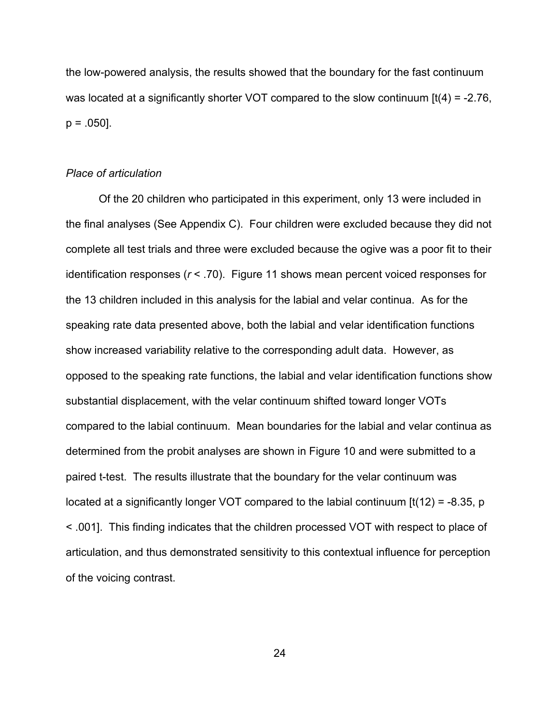the low-powered analysis, the results showed that the boundary for the fast continuum was located at a significantly shorter VOT compared to the slow continuum  $[t(4) = -2.76]$ ,  $p = .050$ ].

#### *Place of articulation*

Of the 20 children who participated in this experiment, only 13 were included in the final analyses (See Appendix C). Four children were excluded because they did not complete all test trials and three were excluded because the ogive was a poor fit to their identification responses (*r* < .70). Figure 11 shows mean percent voiced responses for the 13 children included in this analysis for the labial and velar continua. As for the speaking rate data presented above, both the labial and velar identification functions show increased variability relative to the corresponding adult data. However, as opposed to the speaking rate functions, the labial and velar identification functions show substantial displacement, with the velar continuum shifted toward longer VOTs compared to the labial continuum. Mean boundaries for the labial and velar continua as determined from the probit analyses are shown in Figure 10 and were submitted to a paired t-test. The results illustrate that the boundary for the velar continuum was located at a significantly longer VOT compared to the labial continuum  $\left[\frac{t(12)}{2}\right] = -8.35$ , p < .001]. This finding indicates that the children processed VOT with respect to place of articulation, and thus demonstrated sensitivity to this contextual influence for perception of the voicing contrast.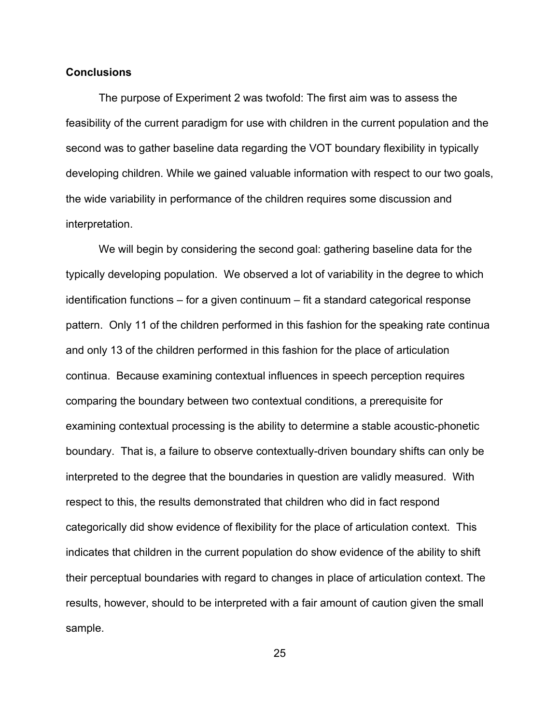#### **Conclusions**

The purpose of Experiment 2 was twofold: The first aim was to assess the feasibility of the current paradigm for use with children in the current population and the second was to gather baseline data regarding the VOT boundary flexibility in typically developing children. While we gained valuable information with respect to our two goals, the wide variability in performance of the children requires some discussion and interpretation.

We will begin by considering the second goal: gathering baseline data for the typically developing population. We observed a lot of variability in the degree to which identification functions – for a given continuum – fit a standard categorical response pattern. Only 11 of the children performed in this fashion for the speaking rate continua and only 13 of the children performed in this fashion for the place of articulation continua. Because examining contextual influences in speech perception requires comparing the boundary between two contextual conditions, a prerequisite for examining contextual processing is the ability to determine a stable acoustic-phonetic boundary. That is, a failure to observe contextually-driven boundary shifts can only be interpreted to the degree that the boundaries in question are validly measured. With respect to this, the results demonstrated that children who did in fact respond categorically did show evidence of flexibility for the place of articulation context. This indicates that children in the current population do show evidence of the ability to shift their perceptual boundaries with regard to changes in place of articulation context. The results, however, should to be interpreted with a fair amount of caution given the small sample.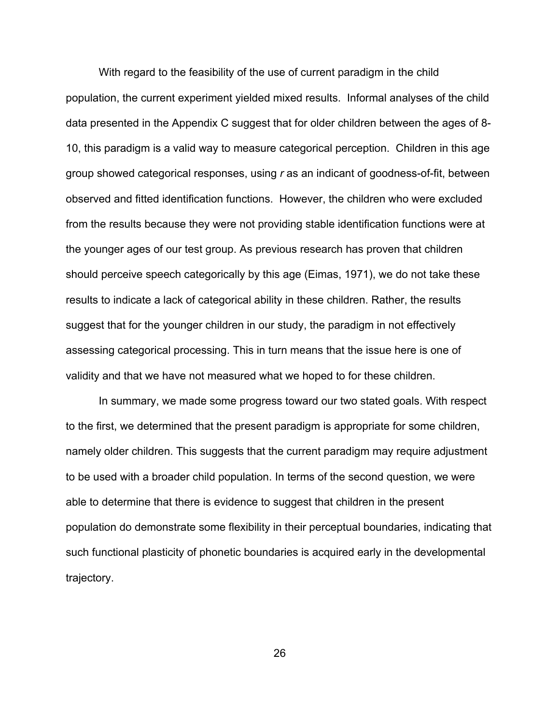With regard to the feasibility of the use of current paradigm in the child population, the current experiment yielded mixed results. Informal analyses of the child data presented in the Appendix C suggest that for older children between the ages of 8- 10, this paradigm is a valid way to measure categorical perception. Children in this age group showed categorical responses, using *r* as an indicant of goodness-of-fit, between observed and fitted identification functions. However, the children who were excluded from the results because they were not providing stable identification functions were at the younger ages of our test group. As previous research has proven that children should perceive speech categorically by this age (Eimas, 1971), we do not take these results to indicate a lack of categorical ability in these children. Rather, the results suggest that for the younger children in our study, the paradigm in not effectively assessing categorical processing. This in turn means that the issue here is one of validity and that we have not measured what we hoped to for these children.

In summary, we made some progress toward our two stated goals. With respect to the first, we determined that the present paradigm is appropriate for some children, namely older children. This suggests that the current paradigm may require adjustment to be used with a broader child population. In terms of the second question, we were able to determine that there is evidence to suggest that children in the present population do demonstrate some flexibility in their perceptual boundaries, indicating that such functional plasticity of phonetic boundaries is acquired early in the developmental trajectory.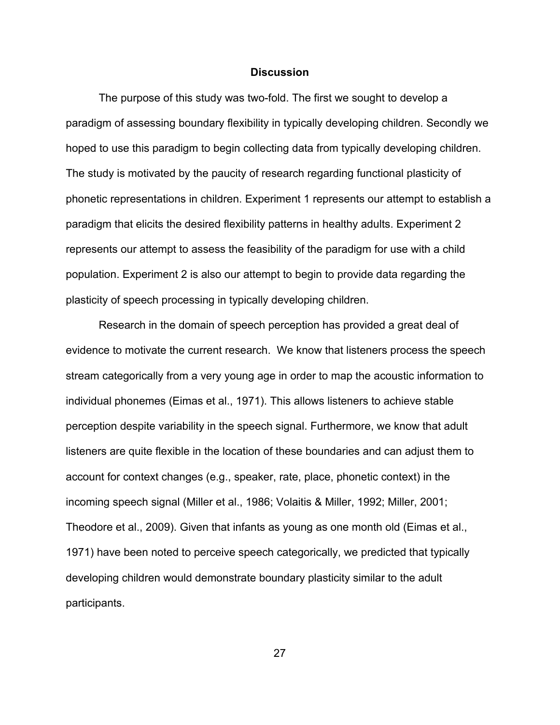#### **Discussion**

The purpose of this study was two-fold. The first we sought to develop a paradigm of assessing boundary flexibility in typically developing children. Secondly we hoped to use this paradigm to begin collecting data from typically developing children. The study is motivated by the paucity of research regarding functional plasticity of phonetic representations in children. Experiment 1 represents our attempt to establish a paradigm that elicits the desired flexibility patterns in healthy adults. Experiment 2 represents our attempt to assess the feasibility of the paradigm for use with a child population. Experiment 2 is also our attempt to begin to provide data regarding the plasticity of speech processing in typically developing children.

Research in the domain of speech perception has provided a great deal of evidence to motivate the current research. We know that listeners process the speech stream categorically from a very young age in order to map the acoustic information to individual phonemes (Eimas et al., 1971). This allows listeners to achieve stable perception despite variability in the speech signal. Furthermore, we know that adult listeners are quite flexible in the location of these boundaries and can adjust them to account for context changes (e.g., speaker, rate, place, phonetic context) in the incoming speech signal (Miller et al., 1986; Volaitis & Miller, 1992; Miller, 2001; Theodore et al., 2009). Given that infants as young as one month old (Eimas et al., 1971) have been noted to perceive speech categorically, we predicted that typically developing children would demonstrate boundary plasticity similar to the adult participants.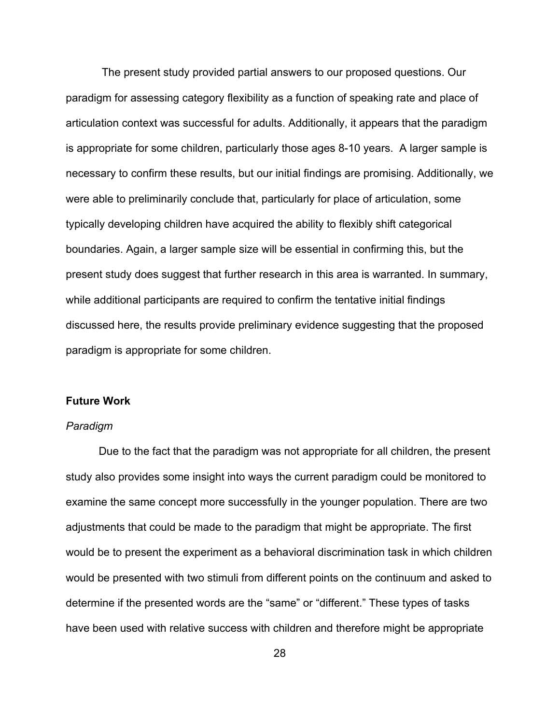The present study provided partial answers to our proposed questions. Our paradigm for assessing category flexibility as a function of speaking rate and place of articulation context was successful for adults. Additionally, it appears that the paradigm is appropriate for some children, particularly those ages 8-10 years. A larger sample is necessary to confirm these results, but our initial findings are promising. Additionally, we were able to preliminarily conclude that, particularly for place of articulation, some typically developing children have acquired the ability to flexibly shift categorical boundaries. Again, a larger sample size will be essential in confirming this, but the present study does suggest that further research in this area is warranted. In summary, while additional participants are required to confirm the tentative initial findings discussed here, the results provide preliminary evidence suggesting that the proposed paradigm is appropriate for some children.

#### **Future Work**

#### *Paradigm*

Due to the fact that the paradigm was not appropriate for all children, the present study also provides some insight into ways the current paradigm could be monitored to examine the same concept more successfully in the younger population. There are two adjustments that could be made to the paradigm that might be appropriate. The first would be to present the experiment as a behavioral discrimination task in which children would be presented with two stimuli from different points on the continuum and asked to determine if the presented words are the "same" or "different." These types of tasks have been used with relative success with children and therefore might be appropriate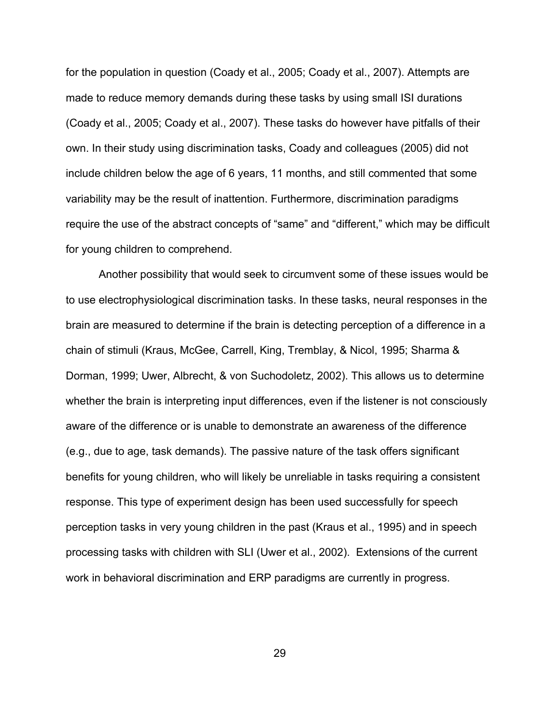for the population in question (Coady et al., 2005; Coady et al., 2007). Attempts are made to reduce memory demands during these tasks by using small ISI durations (Coady et al., 2005; Coady et al., 2007). These tasks do however have pitfalls of their own. In their study using discrimination tasks, Coady and colleagues (2005) did not include children below the age of 6 years, 11 months, and still commented that some variability may be the result of inattention. Furthermore, discrimination paradigms require the use of the abstract concepts of "same" and "different," which may be difficult for young children to comprehend.

Another possibility that would seek to circumvent some of these issues would be to use electrophysiological discrimination tasks. In these tasks, neural responses in the brain are measured to determine if the brain is detecting perception of a difference in a chain of stimuli (Kraus, McGee, Carrell, King, Tremblay, & Nicol, 1995; Sharma & Dorman, 1999; Uwer, Albrecht, & von Suchodoletz, 2002). This allows us to determine whether the brain is interpreting input differences, even if the listener is not consciously aware of the difference or is unable to demonstrate an awareness of the difference (e.g., due to age, task demands). The passive nature of the task offers significant benefits for young children, who will likely be unreliable in tasks requiring a consistent response. This type of experiment design has been used successfully for speech perception tasks in very young children in the past (Kraus et al., 1995) and in speech processing tasks with children with SLI (Uwer et al., 2002). Extensions of the current work in behavioral discrimination and ERP paradigms are currently in progress.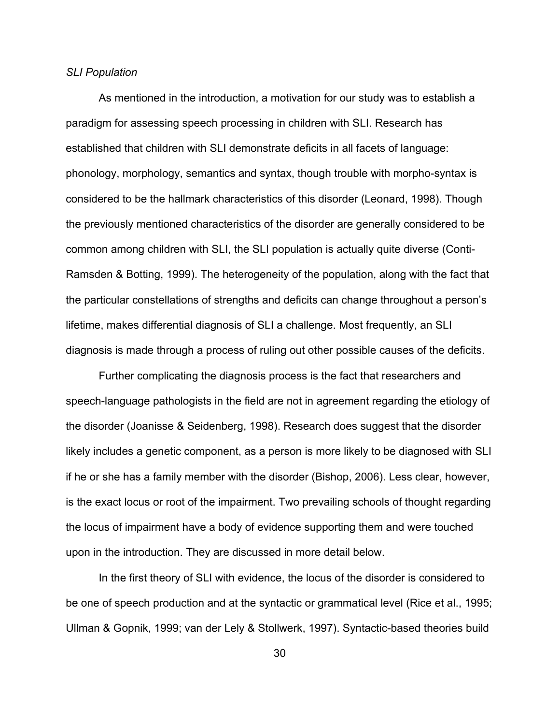#### *SLI Population*

As mentioned in the introduction, a motivation for our study was to establish a paradigm for assessing speech processing in children with SLI. Research has established that children with SLI demonstrate deficits in all facets of language: phonology, morphology, semantics and syntax, though trouble with morpho-syntax is considered to be the hallmark characteristics of this disorder (Leonard, 1998). Though the previously mentioned characteristics of the disorder are generally considered to be common among children with SLI, the SLI population is actually quite diverse (Conti-Ramsden & Botting, 1999). The heterogeneity of the population, along with the fact that the particular constellations of strengths and deficits can change throughout a person's lifetime, makes differential diagnosis of SLI a challenge. Most frequently, an SLI diagnosis is made through a process of ruling out other possible causes of the deficits.

Further complicating the diagnosis process is the fact that researchers and speech-language pathologists in the field are not in agreement regarding the etiology of the disorder (Joanisse & Seidenberg, 1998). Research does suggest that the disorder likely includes a genetic component, as a person is more likely to be diagnosed with SLI if he or she has a family member with the disorder (Bishop, 2006). Less clear, however, is the exact locus or root of the impairment. Two prevailing schools of thought regarding the locus of impairment have a body of evidence supporting them and were touched upon in the introduction. They are discussed in more detail below.

In the first theory of SLI with evidence, the locus of the disorder is considered to be one of speech production and at the syntactic or grammatical level (Rice et al., 1995; Ullman & Gopnik, 1999; van der Lely & Stollwerk, 1997). Syntactic-based theories build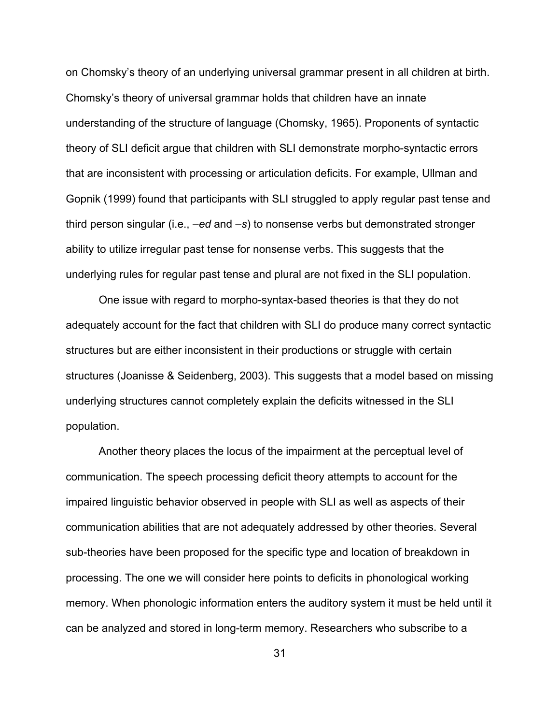on Chomsky's theory of an underlying universal grammar present in all children at birth. Chomsky's theory of universal grammar holds that children have an innate understanding of the structure of language (Chomsky, 1965). Proponents of syntactic theory of SLI deficit argue that children with SLI demonstrate morpho-syntactic errors that are inconsistent with processing or articulation deficits. For example, Ullman and Gopnik (1999) found that participants with SLI struggled to apply regular past tense and third person singular (i.e., *–ed* and *–s*) to nonsense verbs but demonstrated stronger ability to utilize irregular past tense for nonsense verbs. This suggests that the underlying rules for regular past tense and plural are not fixed in the SLI population.

One issue with regard to morpho-syntax-based theories is that they do not adequately account for the fact that children with SLI do produce many correct syntactic structures but are either inconsistent in their productions or struggle with certain structures (Joanisse & Seidenberg, 2003). This suggests that a model based on missing underlying structures cannot completely explain the deficits witnessed in the SLI population.

Another theory places the locus of the impairment at the perceptual level of communication. The speech processing deficit theory attempts to account for the impaired linguistic behavior observed in people with SLI as well as aspects of their communication abilities that are not adequately addressed by other theories. Several sub-theories have been proposed for the specific type and location of breakdown in processing. The one we will consider here points to deficits in phonological working memory. When phonologic information enters the auditory system it must be held until it can be analyzed and stored in long-term memory. Researchers who subscribe to a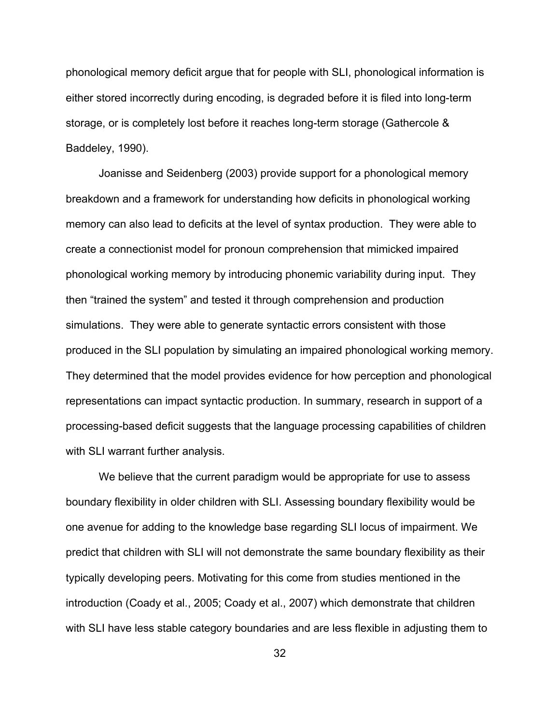phonological memory deficit argue that for people with SLI, phonological information is either stored incorrectly during encoding, is degraded before it is filed into long-term storage, or is completely lost before it reaches long-term storage (Gathercole & Baddeley, 1990).

Joanisse and Seidenberg (2003) provide support for a phonological memory breakdown and a framework for understanding how deficits in phonological working memory can also lead to deficits at the level of syntax production. They were able to create a connectionist model for pronoun comprehension that mimicked impaired phonological working memory by introducing phonemic variability during input. They then "trained the system" and tested it through comprehension and production simulations. They were able to generate syntactic errors consistent with those produced in the SLI population by simulating an impaired phonological working memory. They determined that the model provides evidence for how perception and phonological representations can impact syntactic production. In summary, research in support of a processing-based deficit suggests that the language processing capabilities of children with SLI warrant further analysis.

We believe that the current paradigm would be appropriate for use to assess boundary flexibility in older children with SLI. Assessing boundary flexibility would be one avenue for adding to the knowledge base regarding SLI locus of impairment. We predict that children with SLI will not demonstrate the same boundary flexibility as their typically developing peers. Motivating for this come from studies mentioned in the introduction (Coady et al., 2005; Coady et al., 2007) which demonstrate that children with SLI have less stable category boundaries and are less flexible in adjusting them to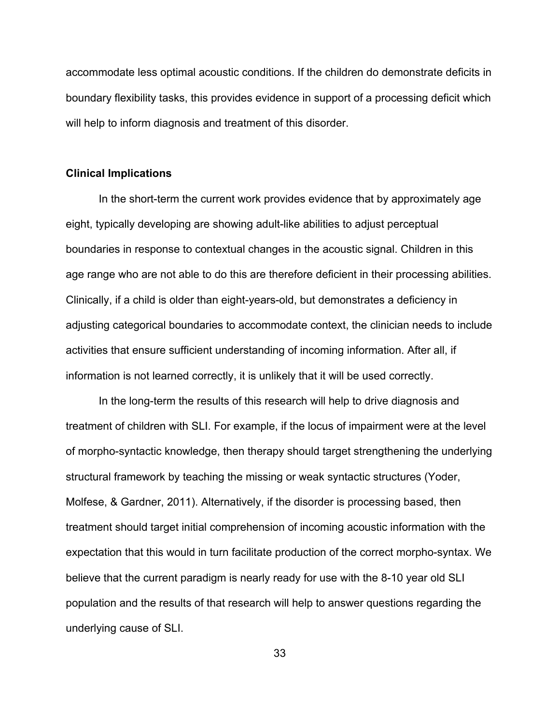accommodate less optimal acoustic conditions. If the children do demonstrate deficits in boundary flexibility tasks, this provides evidence in support of a processing deficit which will help to inform diagnosis and treatment of this disorder.

#### **Clinical Implications**

In the short-term the current work provides evidence that by approximately age eight, typically developing are showing adult-like abilities to adjust perceptual boundaries in response to contextual changes in the acoustic signal. Children in this age range who are not able to do this are therefore deficient in their processing abilities. Clinically, if a child is older than eight-years-old, but demonstrates a deficiency in adjusting categorical boundaries to accommodate context, the clinician needs to include activities that ensure sufficient understanding of incoming information. After all, if information is not learned correctly, it is unlikely that it will be used correctly.

In the long-term the results of this research will help to drive diagnosis and treatment of children with SLI. For example, if the locus of impairment were at the level of morpho-syntactic knowledge, then therapy should target strengthening the underlying structural framework by teaching the missing or weak syntactic structures (Yoder, Molfese, & Gardner, 2011). Alternatively, if the disorder is processing based, then treatment should target initial comprehension of incoming acoustic information with the expectation that this would in turn facilitate production of the correct morpho-syntax. We believe that the current paradigm is nearly ready for use with the 8-10 year old SLI population and the results of that research will help to answer questions regarding the underlying cause of SLI.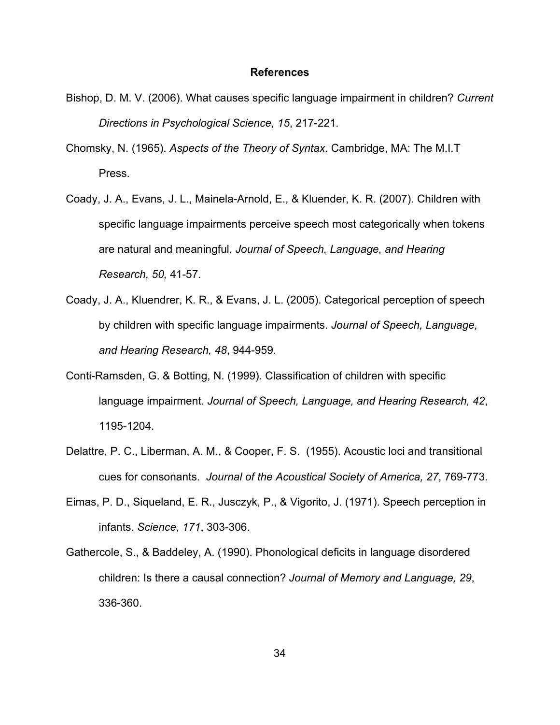#### **References**

- Bishop, D. M. V. (2006). What causes specific language impairment in children? *Current Directions in Psychological Science, 15*, 217-221*.*
- Chomsky, N. (1965). *Aspects of the Theory of Syntax*. Cambridge, MA: The M.I.T Press.
- Coady, J. A., Evans, J. L., Mainela-Arnold, E., & Kluender, K. R. (2007). Children with specific language impairments perceive speech most categorically when tokens are natural and meaningful. *Journal of Speech, Language, and Hearing Research, 50,* 41-57.
- Coady, J. A., Kluendrer, K. R., & Evans, J. L. (2005). Categorical perception of speech by children with specific language impairments. *Journal of Speech, Language, and Hearing Research, 48*, 944-959.
- Conti-Ramsden, G. & Botting, N. (1999). Classification of children with specific language impairment. *Journal of Speech, Language, and Hearing Research, 42*, 1195-1204.
- Delattre, P. C., Liberman, A. M., & Cooper, F. S. (1955). Acoustic loci and transitional cues for consonants. *Journal of the Acoustical Society of America, 27*, 769-773.
- Eimas, P. D., Siqueland, E. R., Jusczyk, P., & Vigorito, J. (1971). Speech perception in infants. *Science*, *171*, 303-306.
- Gathercole, S., & Baddeley, A. (1990). Phonological deficits in language disordered children: Is there a causal connection? *Journal of Memory and Language, 29*, 336-360.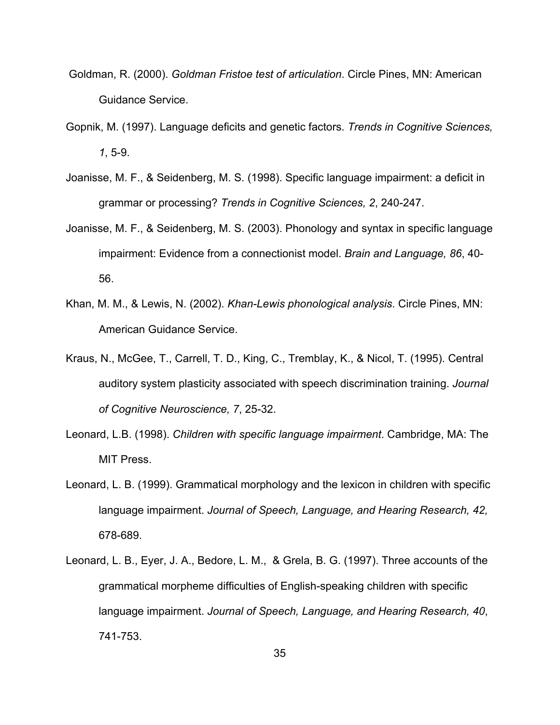- Goldman, R. (2000). *Goldman Fristoe test of articulation*. Circle Pines, MN: American Guidance Service.
- Gopnik, M. (1997). Language deficits and genetic factors. *Trends in Cognitive Sciences, 1*, 5-9.
- Joanisse, M. F., & Seidenberg, M. S. (1998). Specific language impairment: a deficit in grammar or processing? *Trends in Cognitive Sciences, 2*, 240-247.
- Joanisse, M. F., & Seidenberg, M. S. (2003). Phonology and syntax in specific language impairment: Evidence from a connectionist model. *Brain and Language, 86*, 40- 56.
- Khan, M. M., & Lewis, N. (2002). *Khan-Lewis phonological analysis*. Circle Pines, MN: American Guidance Service.
- Kraus, N., McGee, T., Carrell, T. D., King, C., Tremblay, K., & Nicol, T. (1995). Central auditory system plasticity associated with speech discrimination training. *Journal of Cognitive Neuroscience, 7*, 25-32.
- Leonard, L.B. (1998). *Children with specific language impairment*. Cambridge, MA: The MIT Press.
- Leonard, L. B. (1999). Grammatical morphology and the lexicon in children with specific language impairment. *Journal of Speech, Language, and Hearing Research, 42,*  678-689.
- Leonard, L. B., Eyer, J. A., Bedore, L. M., & Grela, B. G. (1997). Three accounts of the grammatical morpheme difficulties of English-speaking children with specific language impairment. *Journal of Speech, Language, and Hearing Research, 40*, 741-753.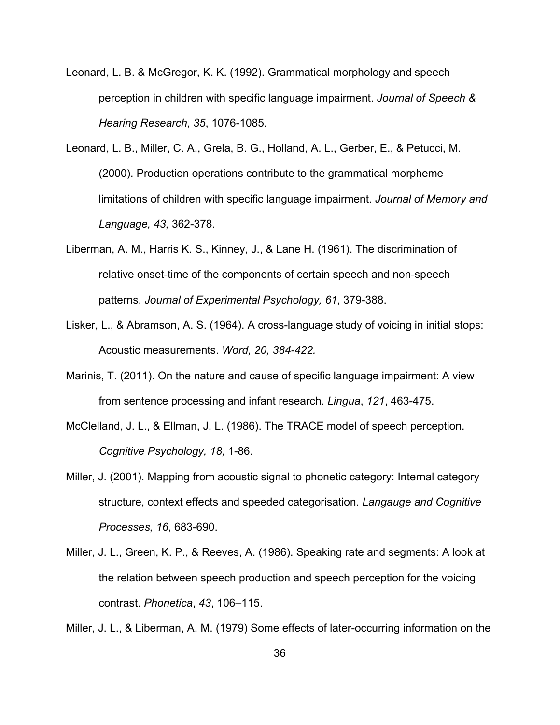- Leonard, L. B. & McGregor, K. K. (1992). Grammatical morphology and speech perception in children with specific language impairment. *Journal of Speech & Hearing Research*, *35*, 1076-1085.
- Leonard, L. B., Miller, C. A., Grela, B. G., Holland, A. L., Gerber, E., & Petucci, M. (2000). Production operations contribute to the grammatical morpheme limitations of children with specific language impairment. *Journal of Memory and Language, 43,* 362-378.
- Liberman, A. M., Harris K. S., Kinney, J., & Lane H. (1961). The discrimination of relative onset-time of the components of certain speech and non-speech patterns. *Journal of Experimental Psychology, 61*, 379-388.
- Lisker, L., & Abramson, A. S. (1964). A cross-language study of voicing in initial stops: Acoustic measurements. *Word, 20, 384-422.*
- Marinis, T. (2011). On the nature and cause of specific language impairment: A view from sentence processing and infant research. *Lingua*, *121*, 463-475.
- McClelland, J. L., & Ellman, J. L. (1986). The TRACE model of speech perception. *Cognitive Psychology, 18,* 1-86.
- Miller, J. (2001). Mapping from acoustic signal to phonetic category: Internal category structure, context effects and speeded categorisation. *Langauge and Cognitive Processes, 16*, 683-690.
- Miller, J. L., Green, K. P., & Reeves, A. (1986). Speaking rate and segments: A look at the relation between speech production and speech perception for the voicing contrast. *Phonetica*, *43*, 106–115.

Miller, J. L., & Liberman, A. M. (1979) Some effects of later-occurring information on the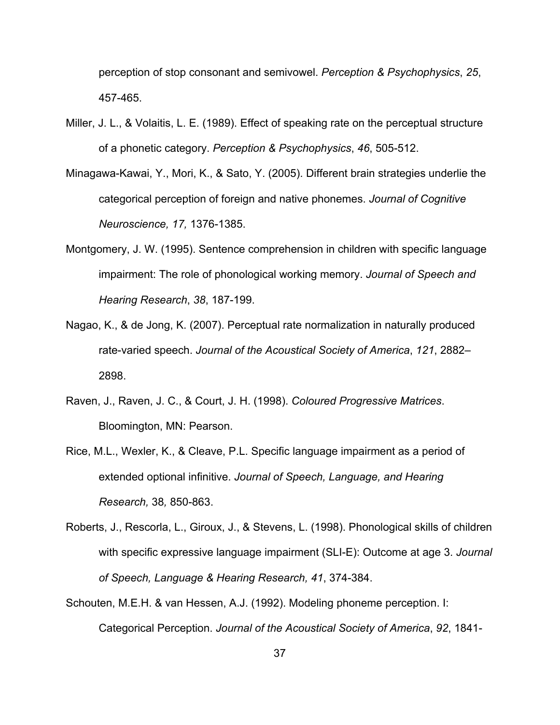perception of stop consonant and semivowel. *Perception & Psychophysics*, *25*, 457-465.

- Miller, J. L., & Volaitis, L. E. (1989). Effect of speaking rate on the perceptual structure of a phonetic category. *Perception & Psychophysics*, *46*, 505-512.
- Minagawa-Kawai, Y., Mori, K., & Sato, Y. (2005). Different brain strategies underlie the categorical perception of foreign and native phonemes. *Journal of Cognitive Neuroscience, 17,* 1376-1385.
- Montgomery, J. W. (1995). Sentence comprehension in children with specific language impairment: The role of phonological working memory. *Journal of Speech and Hearing Research*, *38*, 187-199.
- Nagao, K., & de Jong, K. (2007). Perceptual rate normalization in naturally produced rate-varied speech. *Journal of the Acoustical Society of America*, *121*, 2882– 2898.
- Raven, J., Raven, J. C., & Court, J. H. (1998). *Coloured Progressive Matrices*. Bloomington, MN: Pearson.
- Rice, M.L., Wexler, K., & Cleave, P.L. Specific language impairment as a period of extended optional infinitive. *Journal of Speech, Language, and Hearing Research,* 38*,* 850-863.
- Roberts, J., Rescorla, L., Giroux, J., & Stevens, L. (1998). Phonological skills of children with specific expressive language impairment (SLI-E): Outcome at age 3. *Journal of Speech, Language & Hearing Research, 41*, 374-384.
- Schouten, M.E.H. & van Hessen, A.J. (1992). Modeling phoneme perception. I: Categorical Perception. *Journal of the Acoustical Society of America*, *92*, 1841-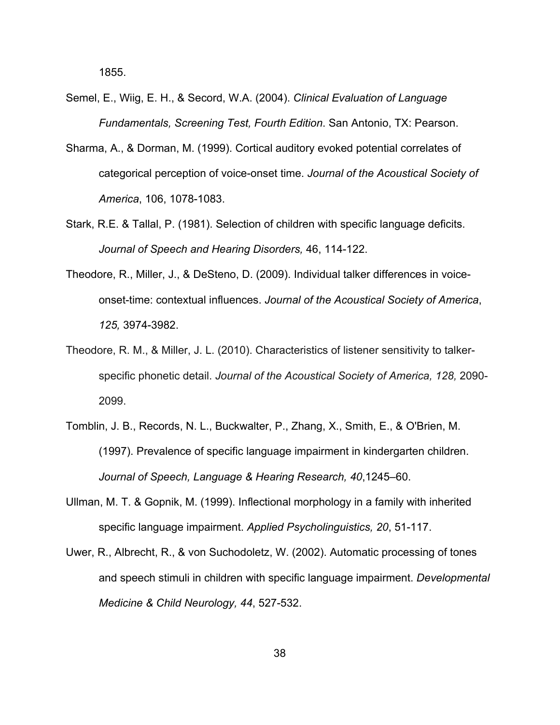1855.

- Semel, E., Wiig, E. H., & Secord, W.A. (2004). *Clinical Evaluation of Language Fundamentals, Screening Test, Fourth Edition*. San Antonio, TX: Pearson.
- Sharma, A., & Dorman, M. (1999). Cortical auditory evoked potential correlates of categorical perception of voice-onset time. *Journal of the Acoustical Society of America*, 106, 1078-1083.
- Stark, R.E. & Tallal, P. (1981). Selection of children with specific language deficits. *Journal of Speech and Hearing Disorders,* 46, 114-122.
- Theodore, R., Miller, J., & DeSteno, D. (2009). Individual talker differences in voiceonset-time: contextual influences. *Journal of the Acoustical Society of America*, *125,* 3974-3982.
- Theodore, R. M., & Miller, J. L. (2010). Characteristics of listener sensitivity to talkerspecific phonetic detail. *Journal of the Acoustical Society of America, 128,* 2090- 2099.
- Tomblin, J. B., Records, N. L., Buckwalter, P., Zhang, X., Smith, E., & O'Brien, M. (1997). Prevalence of specific language impairment in kindergarten children. *Journal of Speech, Language & Hearing Research, 40*,1245–60.
- Ullman, M. T. & Gopnik, M. (1999). Inflectional morphology in a family with inherited specific language impairment. *Applied Psycholinguistics, 20*, 51-117.
- Uwer, R., Albrecht, R., & von Suchodoletz, W. (2002). Automatic processing of tones and speech stimuli in children with specific language impairment. *Developmental Medicine & Child Neurology, 44*, 527-532.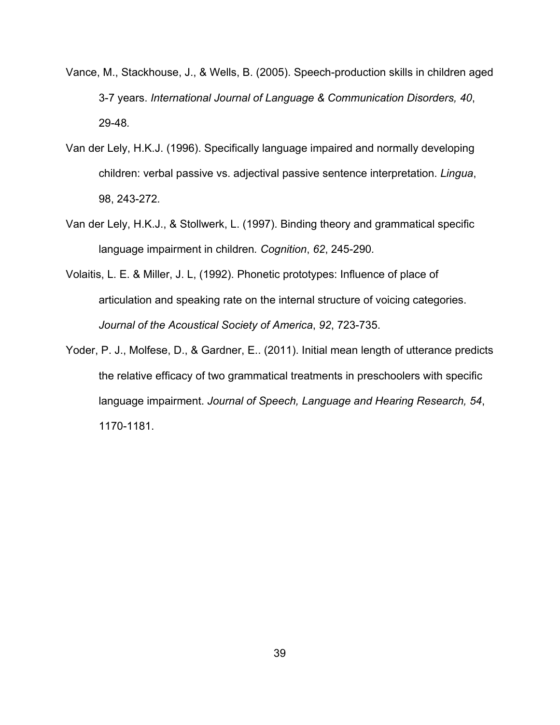- Vance, M., Stackhouse, J., & Wells, B. (2005). Speech-production skills in children aged 3-7 years. *International Journal of Language & Communication Disorders, 40*, 29-48*.*
- Van der Lely, H.K.J. (1996). Specifically language impaired and normally developing children: verbal passive vs. adjectival passive sentence interpretation. *Lingua*, 98, 243-272*.*
- Van der Lely, H.K.J., & Stollwerk, L. (1997). Binding theory and grammatical specific language impairment in children*. Cognition*, *62*, 245-290*.*
- Volaitis, L. E. & Miller, J. L, (1992). Phonetic prototypes: Influence of place of articulation and speaking rate on the internal structure of voicing categories. *Journal of the Acoustical Society of America*, *92*, 723-735.
- Yoder, P. J., Molfese, D., & Gardner, E.. (2011). Initial mean length of utterance predicts the relative efficacy of two grammatical treatments in preschoolers with specific language impairment. *Journal of Speech, Language and Hearing Research, 54*, 1170-1181.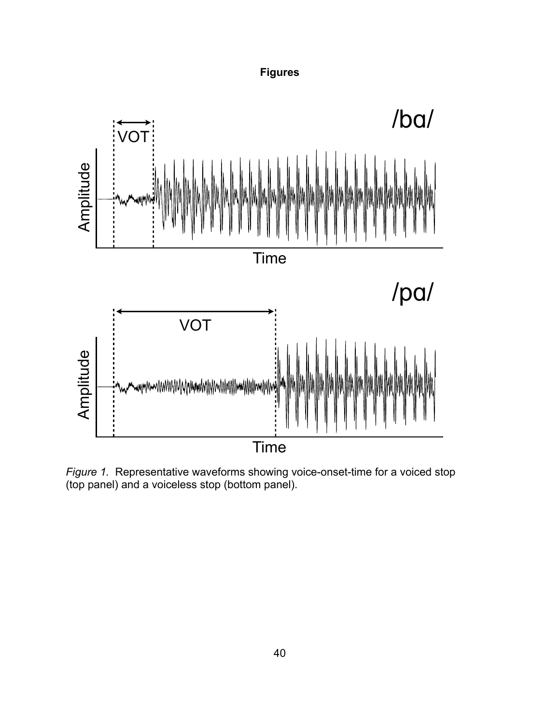### **Figures**



*Figure 1.* Representative waveforms showing voice-onset-time for a voiced stop (top panel) and a voiceless stop (bottom panel).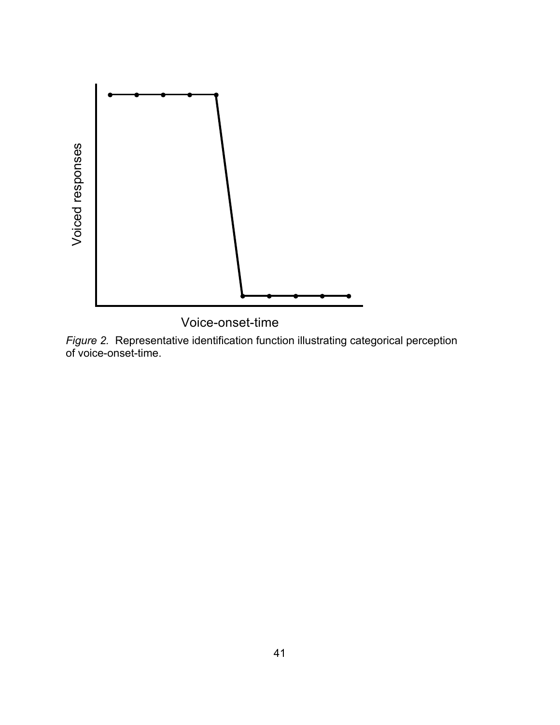

Voice-onset-time

*Figure 2.* Representative identification function illustrating categorical perception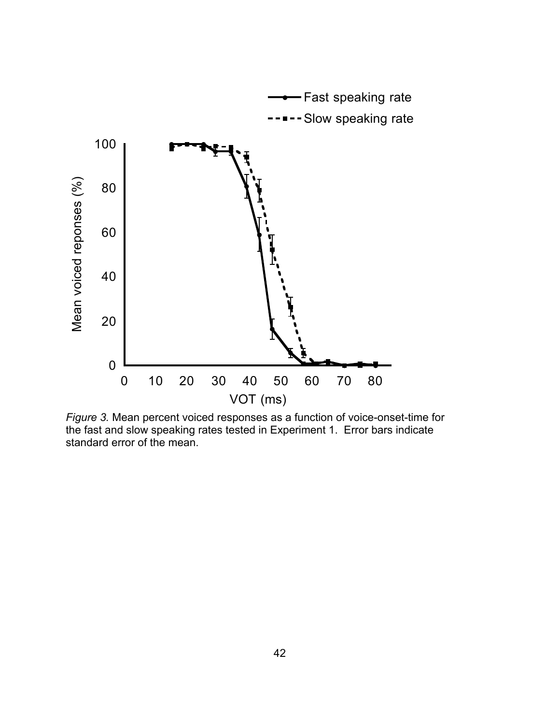

*Figure 3.* Mean percent voiced responses as a function of voice-onset-time for the fast and slow speaking rates tested in Experiment 1. Error bars indicate standard error of the mean.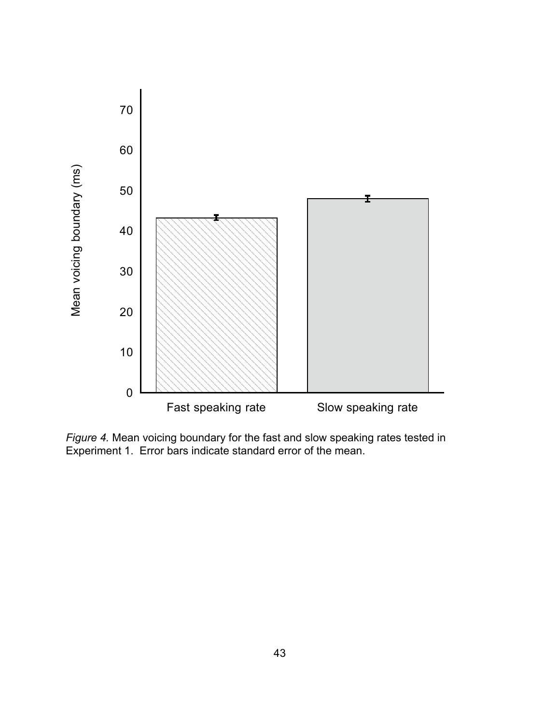

*Figure 4.* Mean voicing boundary for the fast and slow speaking rates tested in Experiment 1. Error bars indicate standard error of the mean.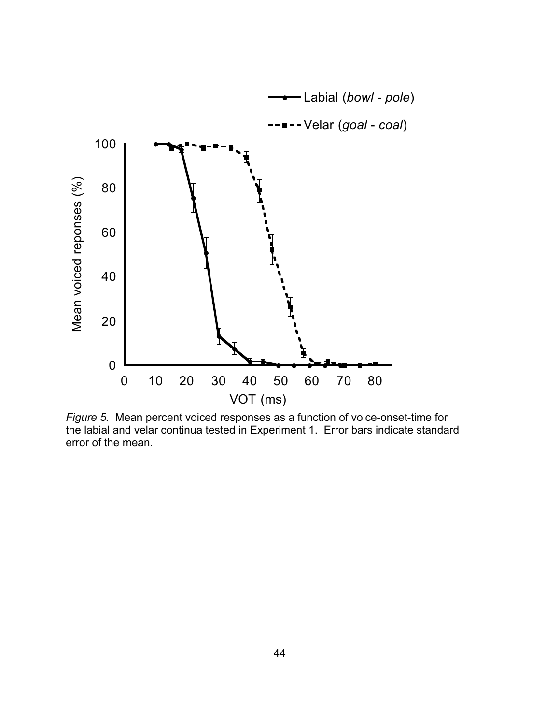

*Figure 5.* Mean percent voiced responses as a function of voice-onset-time for the labial and velar continua tested in Experiment 1. Error bars indicate standard error of the mean.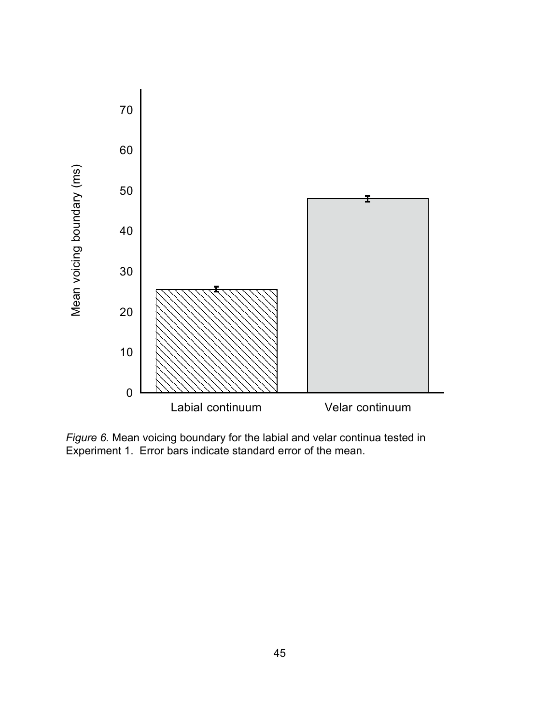

*Figure 6.* Mean voicing boundary for the labial and velar continua tested in Experiment 1. Error bars indicate standard error of the mean.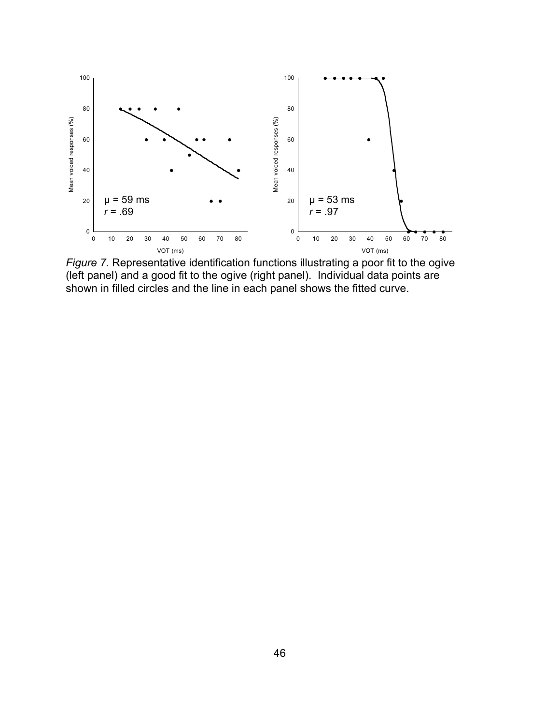

*Figure 7.* Representative identification functions illustrating a poor fit to the ogive (left panel) and a good fit to the ogive (right panel). Individual data points are shown in filled circles and the line in each panel shows the fitted curve.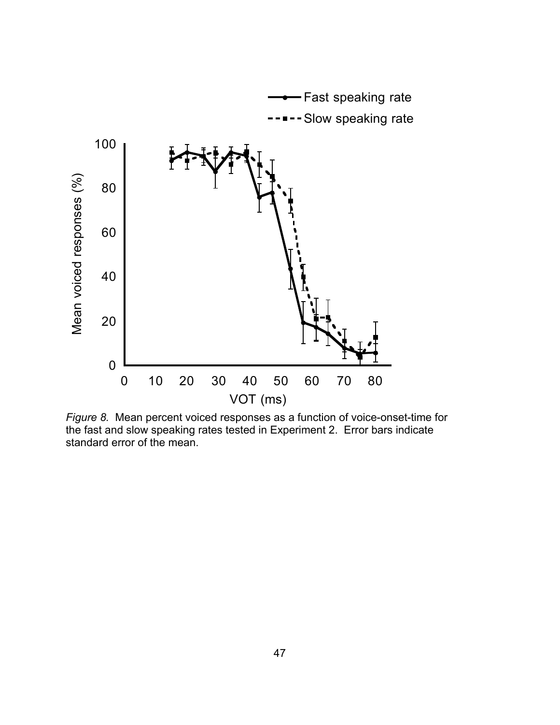

*Figure 8.* Mean percent voiced responses as a function of voice-onset-time for the fast and slow speaking rates tested in Experiment 2. Error bars indicate standard error of the mean.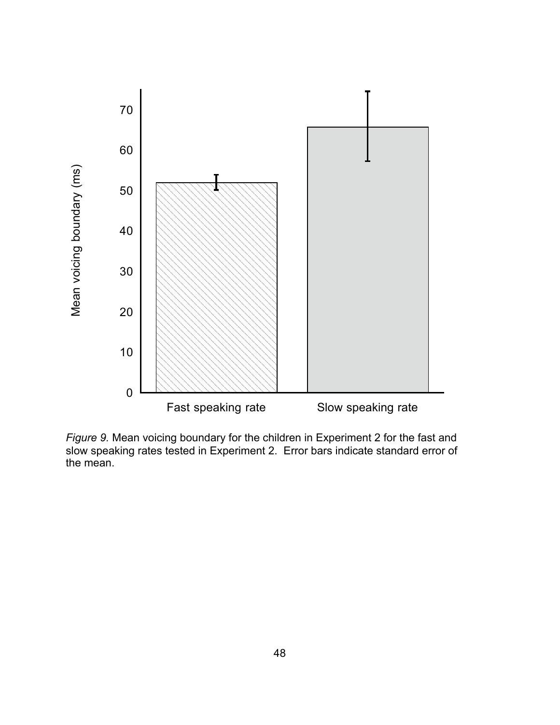

*Figure 9.* Mean voicing boundary for the children in Experiment 2 for the fast and slow speaking rates tested in Experiment 2. Error bars indicate standard error of the mean.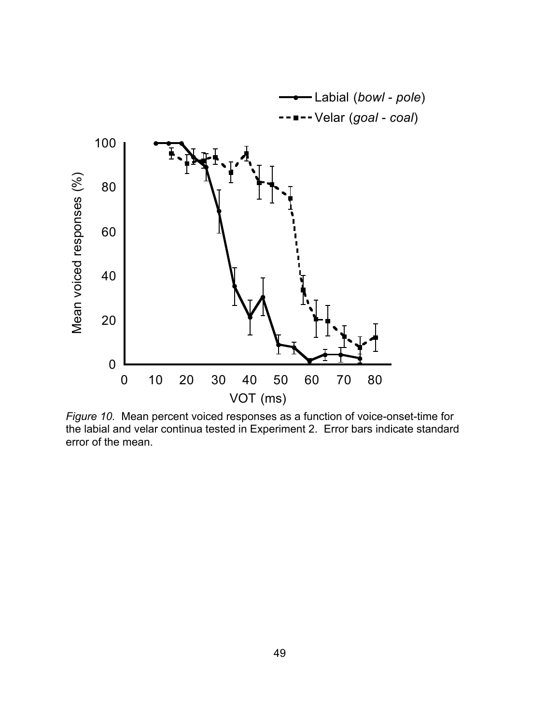

*Figure 10.* Mean percent voiced responses as a function of voice-onset-time for the labial and velar continua tested in Experiment 2. Error bars indicate standard error of the mean.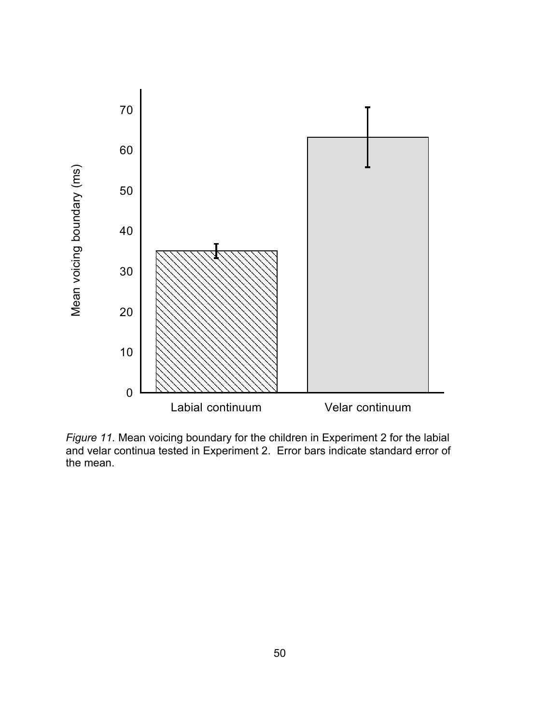

*Figure 11.* Mean voicing boundary for the children in Experiment 2 for the labial and velar continua tested in Experiment 2. Error bars indicate standard error of the mean.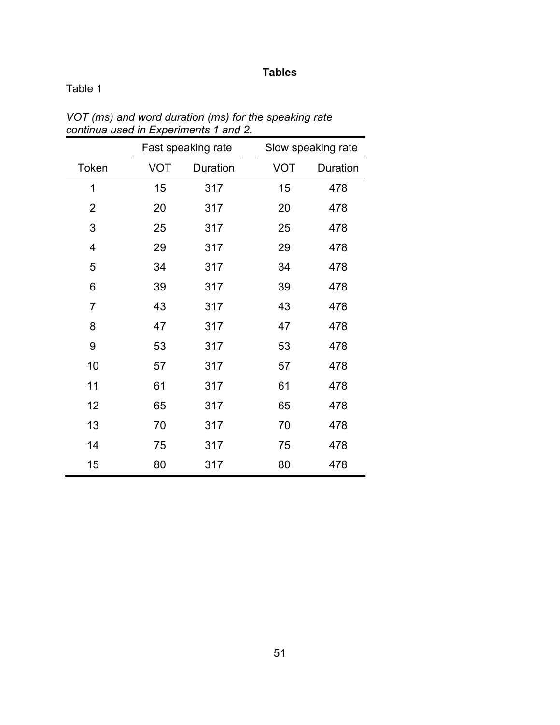### **Tables**

### Table 1

|                |            | Fast speaking rate |            | Slow speaking rate |
|----------------|------------|--------------------|------------|--------------------|
| Token          | <b>VOT</b> | Duration           | <b>VOT</b> | Duration           |
| 1              | 15         | 317                | 15         | 478                |
| 2              | 20         | 317                | 20         | 478                |
| 3              | 25         | 317                | 25         | 478                |
| $\overline{4}$ | 29         | 317                | 29         | 478                |
| 5              | 34         | 317                | 34         | 478                |
| 6              | 39         | 317                | 39         | 478                |
| $\overline{7}$ | 43         | 317                | 43         | 478                |
| 8              | 47         | 317                | 47         | 478                |
| 9              | 53         | 317                | 53         | 478                |
| 10             | 57         | 317                | 57         | 478                |
| 11             | 61         | 317                | 61         | 478                |
| 12             | 65         | 317                | 65         | 478                |
| 13             | 70         | 317                | 70         | 478                |
| 14             | 75         | 317                | 75         | 478                |
| 15             | 80         | 317                | 80         | 478                |

*VOT (ms) and word duration (ms) for the speaking rate continua used in Experiments 1 and 2.*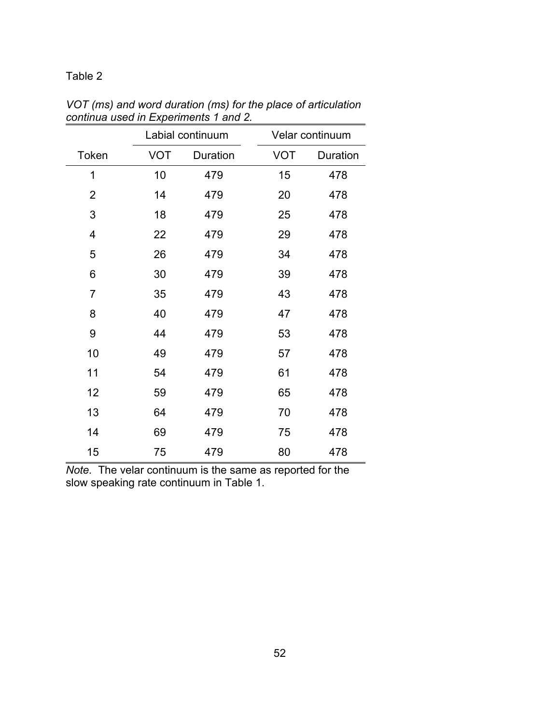### Table 2

|                |            | comma used in <i>Experiments</i> $\overline{\phantom{a}}$ and $\overline{\phantom{a}}$ . |            |                 |
|----------------|------------|------------------------------------------------------------------------------------------|------------|-----------------|
|                |            | Labial continuum                                                                         |            | Velar continuum |
| Token          | <b>VOT</b> | Duration                                                                                 | <b>VOT</b> | Duration        |
| 1              | 10         | 479                                                                                      | 15         | 478             |
| $\overline{2}$ | 14         | 479                                                                                      | 20         | 478             |
| 3              | 18         | 479                                                                                      | 25         | 478             |
| 4              | 22         | 479                                                                                      | 29         | 478             |
| 5              | 26         | 479                                                                                      | 34         | 478             |
| 6              | 30         | 479                                                                                      | 39         | 478             |
| 7              | 35         | 479                                                                                      | 43         | 478             |
| 8              | 40         | 479                                                                                      | 47         | 478             |
| 9              | 44         | 479                                                                                      | 53         | 478             |
| 10             | 49         | 479                                                                                      | 57         | 478             |
| 11             | 54         | 479                                                                                      | 61         | 478             |
| 12             | 59         | 479                                                                                      | 65         | 478             |
| 13             | 64         | 479                                                                                      | 70         | 478             |
| 14             | 69         | 479                                                                                      | 75         | 478             |
| 15             | 75         | 479                                                                                      | 80         | 478             |

*VOT (ms) and word duration (ms) for the place of articulation continua used in Experiments 1 and 2.*

*Note.* The velar continuum is the same as reported for the slow speaking rate continuum in Table 1.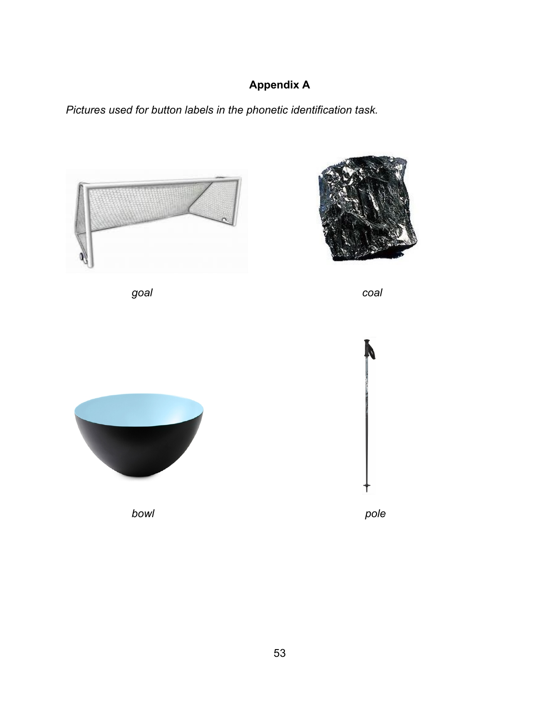# **Appendix A**

*Pictures used for button labels in the phonetic identification task.* 



*goal coal*





*bowl pole*

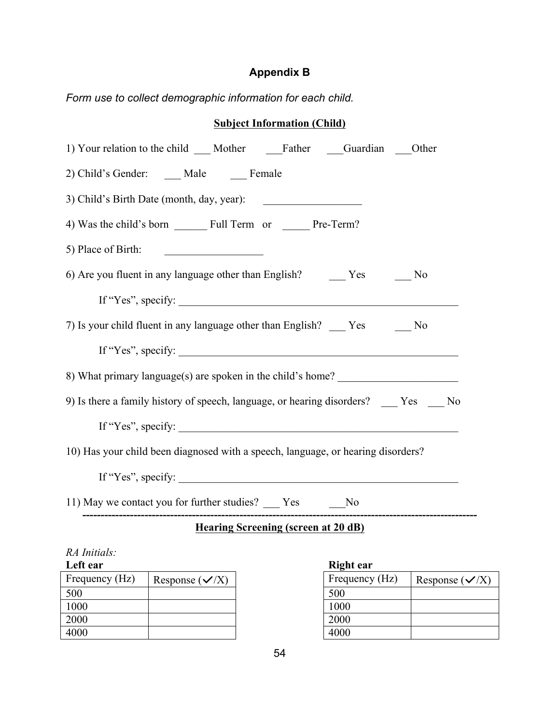### **Appendix B**

*Form use to collect demographic information for each child.*

| <b>Subject Information (Child)</b>                                                                                                          |  |  |
|---------------------------------------------------------------------------------------------------------------------------------------------|--|--|
| 1) Your relation to the child ___ Mother ______Father _____Guardian ____Other                                                               |  |  |
| 2) Child's Gender: ____ Male ____ Female                                                                                                    |  |  |
| 3) Child's Birth Date (month, day, year):                                                                                                   |  |  |
|                                                                                                                                             |  |  |
| 5) Place of Birth:<br><u> 1989 - Johann Stein, mars an Francisco Barbara, actor a francisco a francisco a francisco a francisco a franc</u> |  |  |
|                                                                                                                                             |  |  |
| If "Yes", specify: $\_\_$                                                                                                                   |  |  |
| 7) Is your child fluent in any language other than English? Yes No                                                                          |  |  |
|                                                                                                                                             |  |  |
| 8) What primary language(s) are spoken in the child's home?                                                                                 |  |  |
| 9) Is there a family history of speech, language, or hearing disorders? _____ Yes _____ No                                                  |  |  |
| If "Yes", specify: $\qquad \qquad$                                                                                                          |  |  |
| 10) Has your child been diagnosed with a speech, language, or hearing disorders?                                                            |  |  |
| If "Yes", specify: $\qquad \qquad$                                                                                                          |  |  |
| 11) May we contact you for further studies? ____ Yes _______ No                                                                             |  |  |
| Hearing Screening (screen at 20 dB)                                                                                                         |  |  |
| RA Initials:                                                                                                                                |  |  |
| Left ear<br><b>Right ear</b>                                                                                                                |  |  |
| Frequency (Hz)   Response $({\checkmark X})$<br>Frequency (Hz) $\big $ Response $(\checkmark X)$                                            |  |  |

| Frequency (Hz) | Response $({\sqrt{X}})$ | Freq |
|----------------|-------------------------|------|
| 500            |                         | 500  |
| 1000           |                         | 1000 |
| 2000           |                         | 2000 |
| 4000           |                         | 4000 |

| <b>IMENT</b> CAL |                         |
|------------------|-------------------------|
| Frequency (Hz)   | Response $({\sqrt{X}})$ |
| 500              |                         |
| 1000             |                         |
| 2000             |                         |
| 4000             |                         |